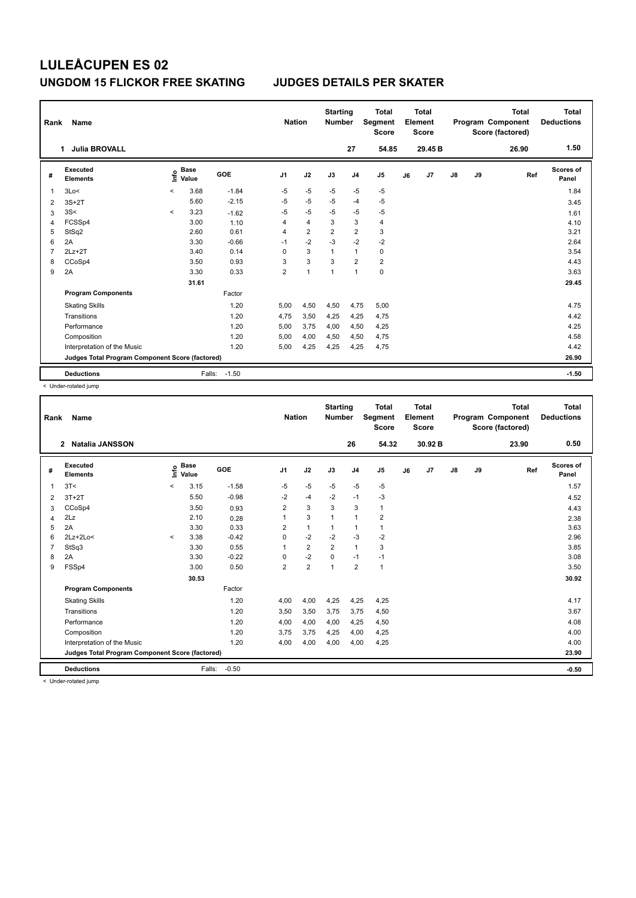| Rank | Name                                            |                          |                      |            |                | <b>Nation</b>  | <b>Starting</b><br><b>Number</b> |                | <b>Total</b><br>Segment<br><b>Score</b> |    | <b>Total</b><br>Element<br><b>Score</b> |               |    | <b>Total</b><br>Program Component<br>Score (factored) | Total<br><b>Deductions</b> |
|------|-------------------------------------------------|--------------------------|----------------------|------------|----------------|----------------|----------------------------------|----------------|-----------------------------------------|----|-----------------------------------------|---------------|----|-------------------------------------------------------|----------------------------|
|      | <b>Julia BROVALL</b><br>1                       |                          |                      |            |                |                |                                  | 27             | 54.85                                   |    | 29.45 B                                 |               |    | 26.90                                                 | 1.50                       |
| #    | <b>Executed</b><br><b>Elements</b>              | ١nf٥                     | <b>Base</b><br>Value | <b>GOE</b> | J <sub>1</sub> | J2             | J3                               | J <sub>4</sub> | J5                                      | J6 | J7                                      | $\mathsf{J}8$ | J9 | Ref                                                   | <b>Scores of</b><br>Panel  |
| 1    | 3Lo<                                            | $\prec$                  | 3.68                 | $-1.84$    | $-5$           | $-5$           | $-5$                             | $-5$           | $-5$                                    |    |                                         |               |    |                                                       | 1.84                       |
| 2    | $3S+2T$                                         |                          | 5.60                 | $-2.15$    | $-5$           | $-5$           | $-5$                             | $-4$           | $-5$                                    |    |                                         |               |    |                                                       | 3.45                       |
| 3    | 3S<                                             | $\overline{\phantom{a}}$ | 3.23                 | $-1.62$    | $-5$           | $-5$           | $-5$                             | $-5$           | $-5$                                    |    |                                         |               |    |                                                       | 1.61                       |
| 4    | FCSSp4                                          |                          | 3.00                 | 1.10       | 4              | 4              | 3                                | 3              | 4                                       |    |                                         |               |    |                                                       | 4.10                       |
| 5    | StSq2                                           |                          | 2.60                 | 0.61       | 4              | $\overline{2}$ | $\overline{2}$                   | $\overline{2}$ | 3                                       |    |                                         |               |    |                                                       | 3.21                       |
| 6    | 2A                                              |                          | 3.30                 | $-0.66$    | $-1$           | $-2$           | $-3$                             | $-2$           | $-2$                                    |    |                                         |               |    |                                                       | 2.64                       |
| 7    | $2Lz+2T$                                        |                          | 3.40                 | 0.14       | 0              | 3              | $\mathbf{1}$                     | $\mathbf{1}$   | 0                                       |    |                                         |               |    |                                                       | 3.54                       |
| 8    | CCoSp4                                          |                          | 3.50                 | 0.93       | 3              | 3              | 3                                | $\overline{2}$ | $\overline{2}$                          |    |                                         |               |    |                                                       | 4.43                       |
| 9    | 2A                                              |                          | 3.30                 | 0.33       | $\overline{2}$ | $\overline{1}$ | 1                                | $\overline{1}$ | $\pmb{0}$                               |    |                                         |               |    |                                                       | 3.63                       |
|      |                                                 |                          | 31.61                |            |                |                |                                  |                |                                         |    |                                         |               |    |                                                       | 29.45                      |
|      | <b>Program Components</b>                       |                          |                      | Factor     |                |                |                                  |                |                                         |    |                                         |               |    |                                                       |                            |
|      | <b>Skating Skills</b>                           |                          |                      | 1.20       | 5,00           | 4,50           | 4,50                             | 4,75           | 5,00                                    |    |                                         |               |    |                                                       | 4.75                       |
|      | Transitions                                     |                          |                      | 1.20       | 4,75           | 3,50           | 4,25                             | 4,25           | 4.75                                    |    |                                         |               |    |                                                       | 4.42                       |
|      | Performance                                     |                          |                      | 1.20       | 5,00           | 3,75           | 4,00                             | 4,50           | 4,25                                    |    |                                         |               |    |                                                       | 4.25                       |
|      | Composition                                     |                          |                      | 1.20       | 5,00           | 4,00           | 4,50                             | 4,50           | 4,75                                    |    |                                         |               |    |                                                       | 4.58                       |
|      | Interpretation of the Music                     |                          |                      | 1.20       | 5,00           | 4,25           | 4,25                             | 4,25           | 4,75                                    |    |                                         |               |    |                                                       | 4.42                       |
|      | Judges Total Program Component Score (factored) |                          |                      |            |                |                |                                  |                |                                         |    |                                         |               |    |                                                       | 26.90                      |
|      | <b>Deductions</b>                               |                          | Falls:               | $-1.50$    |                |                |                                  |                |                                         |    |                                         |               |    |                                                       | $-1.50$                    |

< Under-rotated jump

| Rank           | Name                                            |         |                      |         | <b>Nation</b>  |                | <b>Starting</b><br><b>Number</b> |                | <b>Total</b><br><b>Segment</b><br><b>Score</b> |    | <b>Total</b><br>Element<br><b>Score</b> |               |    | <b>Total</b><br>Program Component<br>Score (factored) | <b>Total</b><br><b>Deductions</b> |
|----------------|-------------------------------------------------|---------|----------------------|---------|----------------|----------------|----------------------------------|----------------|------------------------------------------------|----|-----------------------------------------|---------------|----|-------------------------------------------------------|-----------------------------------|
|                | <b>Natalia JANSSON</b><br>$\mathbf{2}$          |         |                      |         |                |                |                                  | 26             | 54.32                                          |    | 30.92B                                  |               |    | 23.90                                                 | 0.50                              |
| #              | Executed<br><b>Elements</b>                     | lnfo    | <b>Base</b><br>Value | GOE     | J <sub>1</sub> | J2             | J3                               | J <sub>4</sub> | J <sub>5</sub>                                 | J6 | J7                                      | $\mathsf{J}8$ | J9 | Ref                                                   | <b>Scores of</b><br>Panel         |
| 1              | 3T<                                             | $\prec$ | 3.15                 | $-1.58$ | $-5$           | $-5$           | $-5$                             | $-5$           | $-5$                                           |    |                                         |               |    |                                                       | 1.57                              |
| 2              | $3T+2T$                                         |         | 5.50                 | $-0.98$ | $-2$           | $-4$           | $-2$                             | $-1$           | $-3$                                           |    |                                         |               |    |                                                       | 4.52                              |
| 3              | CCoSp4                                          |         | 3.50                 | 0.93    | 2              | 3              | 3                                | 3              | $\mathbf{1}$                                   |    |                                         |               |    |                                                       | 4.43                              |
| 4              | 2Lz                                             |         | 2.10                 | 0.28    | 1              | 3              | 1                                | $\mathbf{1}$   | $\overline{2}$                                 |    |                                         |               |    |                                                       | 2.38                              |
| 5              | 2A                                              |         | 3.30                 | 0.33    | $\overline{2}$ | $\mathbf{1}$   | $\mathbf{1}$                     | $\mathbf{1}$   | $\mathbf{1}$                                   |    |                                         |               |    |                                                       | 3.63                              |
| 6              | $2Lz+2Lo<$                                      | $\prec$ | 3.38                 | $-0.42$ | $\Omega$       | $-2$           | $-2$                             | $-3$           | $-2$                                           |    |                                         |               |    |                                                       | 2.96                              |
| $\overline{7}$ | StSq3                                           |         | 3.30                 | 0.55    | 1              | $\overline{2}$ | $\overline{2}$                   | $\mathbf{1}$   | 3                                              |    |                                         |               |    |                                                       | 3.85                              |
| 8              | 2A                                              |         | 3.30                 | $-0.22$ | 0              | $-2$           | 0                                | $-1$           | $-1$                                           |    |                                         |               |    |                                                       | 3.08                              |
| 9              | FSSp4                                           |         | 3.00                 | 0.50    | $\overline{2}$ | $\overline{2}$ | $\mathbf{1}$                     | $\overline{2}$ | $\mathbf{1}$                                   |    |                                         |               |    |                                                       | 3.50                              |
|                |                                                 |         | 30.53                |         |                |                |                                  |                |                                                |    |                                         |               |    |                                                       | 30.92                             |
|                | <b>Program Components</b>                       |         |                      | Factor  |                |                |                                  |                |                                                |    |                                         |               |    |                                                       |                                   |
|                | <b>Skating Skills</b>                           |         |                      | 1.20    | 4,00           | 4,00           | 4,25                             | 4,25           | 4,25                                           |    |                                         |               |    |                                                       | 4.17                              |
|                | Transitions                                     |         |                      | 1.20    | 3,50           | 3,50           | 3,75                             | 3,75           | 4,50                                           |    |                                         |               |    |                                                       | 3.67                              |
|                | Performance                                     |         |                      | 1.20    | 4,00           | 4,00           | 4,00                             | 4,25           | 4,50                                           |    |                                         |               |    |                                                       | 4.08                              |
|                | Composition                                     |         |                      | 1.20    | 3,75           | 3,75           | 4,25                             | 4,00           | 4,25                                           |    |                                         |               |    |                                                       | 4.00                              |
|                | Interpretation of the Music                     |         |                      | 1.20    | 4,00           | 4,00           | 4,00                             | 4,00           | 4,25                                           |    |                                         |               |    |                                                       | 4.00                              |
|                | Judges Total Program Component Score (factored) |         |                      |         |                |                |                                  |                |                                                |    |                                         |               |    |                                                       | 23.90                             |
|                | <b>Deductions</b>                               |         | Falls:               | $-0.50$ |                |                |                                  |                |                                                |    |                                         |               |    |                                                       | $-0.50$                           |
|                | a Hador retoted iuma                            |         |                      |         |                |                |                                  |                |                                                |    |                                         |               |    |                                                       |                                   |

< Under-rotated jump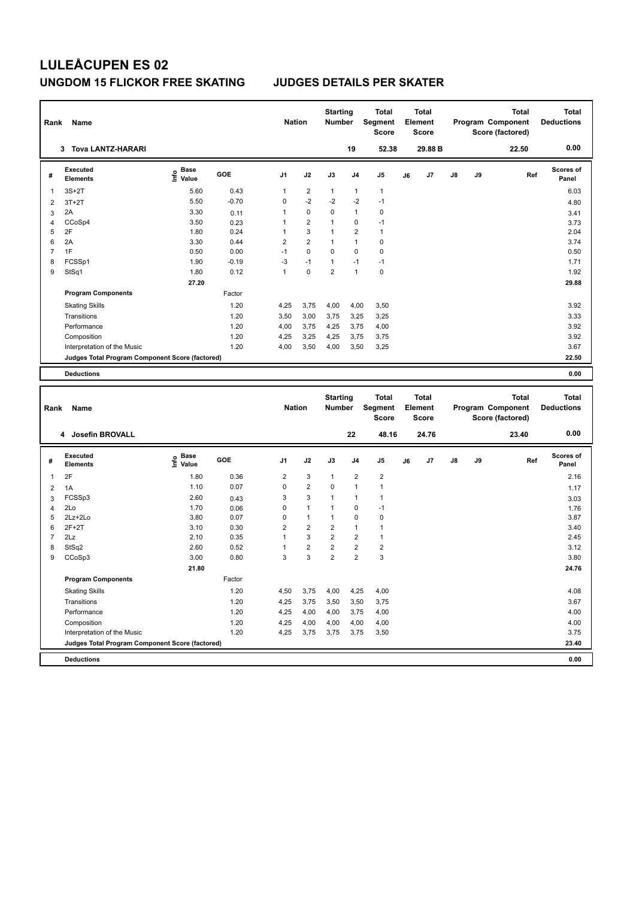| Rank           | Name                                            |                              |         | <b>Nation</b>  |                         | <b>Starting</b><br><b>Number</b> |                | <b>Total</b><br><b>Segment</b><br><b>Score</b> |    | <b>Total</b><br>Element<br><b>Score</b> |    |    | <b>Total</b><br>Program Component<br>Score (factored) | <b>Total</b><br><b>Deductions</b> |
|----------------|-------------------------------------------------|------------------------------|---------|----------------|-------------------------|----------------------------------|----------------|------------------------------------------------|----|-----------------------------------------|----|----|-------------------------------------------------------|-----------------------------------|
|                | <b>Tova LANTZ-HARARI</b><br>3                   |                              |         |                |                         |                                  | 19             | 52.38                                          |    | 29.88 B                                 |    |    | 22.50                                                 | 0.00                              |
| #              | <b>Executed</b><br><b>Elements</b>              | <b>Base</b><br>Life<br>Value | GOE     | J <sub>1</sub> | J2                      | J3                               | J4             | J <sub>5</sub>                                 | J6 | J7                                      | J8 | J9 | Ref                                                   | Scores of<br>Panel                |
| 1              | $3S+2T$                                         | 5.60                         | 0.43    | $\mathbf{1}$   | $\overline{\mathbf{c}}$ | $\mathbf{1}$                     | 1              | $\mathbf{1}$                                   |    |                                         |    |    |                                                       | 6.03                              |
| $\overline{2}$ | $3T+2T$                                         | 5.50                         | $-0.70$ | $\mathbf 0$    | $-2$                    | $-2$                             | $-2$           | $-1$                                           |    |                                         |    |    |                                                       | 4.80                              |
| 3              | 2A                                              | 3.30                         | 0.11    | 1              | 0                       | 0                                | $\mathbf{1}$   | $\pmb{0}$                                      |    |                                         |    |    |                                                       | 3.41                              |
| $\overline{4}$ | CCoSp4                                          | 3.50                         | 0.23    | 1              | $\overline{2}$          | $\mathbf{1}$                     | 0              | $-1$                                           |    |                                         |    |    |                                                       | 3.73                              |
| 5              | 2F                                              | 1.80                         | 0.24    | $\mathbf{1}$   | 3                       | 1                                | $\overline{2}$ | $\mathbf{1}$                                   |    |                                         |    |    |                                                       | 2.04                              |
| 6              | 2A                                              | 3.30                         | 0.44    | $\overline{2}$ | $\overline{2}$          | 1                                | $\mathbf{1}$   | $\pmb{0}$                                      |    |                                         |    |    |                                                       | 3.74                              |
| $\overline{7}$ | 1F                                              | 0.50                         | 0.00    | $-1$           | $\mathbf 0$             | $\mathbf 0$                      | $\Omega$       | $\mathbf 0$                                    |    |                                         |    |    |                                                       | 0.50                              |
| 8              | FCSSp1                                          | 1.90                         | $-0.19$ | $-3$           | $-1$                    | $\mathbf{1}$                     | $-1$           | $-1$                                           |    |                                         |    |    |                                                       | 1.71                              |
| 9              | StSq1                                           | 1.80                         | 0.12    | $\mathbf{1}$   | $\Omega$                | $\overline{2}$                   | $\mathbf{1}$   | $\mathbf 0$                                    |    |                                         |    |    |                                                       | 1.92                              |
|                |                                                 | 27.20                        |         |                |                         |                                  |                |                                                |    |                                         |    |    |                                                       | 29.88                             |
|                | <b>Program Components</b>                       |                              | Factor  |                |                         |                                  |                |                                                |    |                                         |    |    |                                                       |                                   |
|                | <b>Skating Skills</b>                           |                              | 1.20    | 4,25           | 3,75                    | 4,00                             | 4,00           | 3,50                                           |    |                                         |    |    |                                                       | 3.92                              |
|                | Transitions                                     |                              | 1.20    | 3,50           | 3,00                    | 3,75                             | 3,25           | 3,25                                           |    |                                         |    |    |                                                       | 3.33                              |
|                | Performance                                     |                              | 1.20    | 4,00           | 3,75                    | 4,25                             | 3,75           | 4,00                                           |    |                                         |    |    |                                                       | 3.92                              |
|                | Composition                                     |                              | 1.20    | 4,25           | 3,25                    | 4,25                             | 3,75           | 3,75                                           |    |                                         |    |    |                                                       | 3.92                              |
|                | Interpretation of the Music                     |                              | 1.20    | 4,00           | 3,50                    | 4,00                             | 3,50           | 3,25                                           |    |                                         |    |    |                                                       | 3.67                              |
|                | Judges Total Program Component Score (factored) |                              |         |                |                         |                                  |                |                                                |    |                                         |    |    |                                                       | 22.50                             |
|                | <b>Deductions</b>                               |                              |         |                |                         |                                  |                |                                                |    |                                         |    |    |                                                       | 0.00                              |
|                |                                                 |                              |         |                |                         |                                  |                |                                                |    |                                         |    |    |                                                       |                                   |
| Rank           | Name                                            |                              |         | <b>Nation</b>  |                         | <b>Starting</b><br><b>Number</b> |                | <b>Total</b><br>Segment<br><b>Score</b>        |    | <b>Total</b><br>Element<br><b>Score</b> |    |    | <b>Total</b><br>Program Component<br>Score (factored) | <b>Total</b><br><b>Deductions</b> |
|                | Josefin BROVALL<br>4                            |                              |         |                |                         |                                  | 22             | 48.16                                          |    | 24.76                                   |    |    | 23.40                                                 | 0.00                              |
| #              | <b>Executed</b><br><b>Elements</b>              | <b>Base</b><br>Info<br>Value | GOE     | J1             | J2                      | J3                               | J <sub>4</sub> | J <sub>5</sub>                                 | J6 | J7                                      | J8 | J9 | Ref                                                   | <b>Scores of</b><br>Panel         |
| 1              | 2F                                              | 1.80                         | 0.36    | 2              | 3                       | $\mathbf{1}$                     | 2              | $\overline{2}$                                 |    |                                         |    |    |                                                       | 2.16                              |
| 2              | 1A                                              | 1.10                         | 0.07    | $\mathbf 0$    | $\overline{\mathbf{c}}$ | $\Omega$                         | $\mathbf{1}$   | $\mathbf{1}$                                   |    |                                         |    |    |                                                       | 1.17                              |
| 3              | FCSSp3                                          | 2.60                         | 0.43    | 3              | 3                       | $\mathbf{1}$                     | 1              | $\mathbf{1}$                                   |    |                                         |    |    |                                                       | 3.03                              |
| 4              | 2Lo                                             | 1.70                         | 0.06    | $\Omega$       | $\mathbf{1}$            | $\mathbf{1}$                     | 0              | $-1$                                           |    |                                         |    |    |                                                       | 1.76                              |

 2Lz+2Lo 3.80 0.07 0 1 1 0 0 3.87 2F+2T 3.10 0.30 2 2 2 1 1 3.40 2Lz 2.10 0.35 1 3 2 2 1 2.45 StSq2 2.60 0.52 1 2 2 2 2 3.12 CCoSp3 3.00 0.80 3 3 2 2 3 3.80

Skating Skills 1.20 4,50 3,75 4,00 4,25 4,00 4.08

Transitions 1.20 4,25 3,75 3,50 3,50 3,75 3.67 Performance 2.1.20 4,25 4,00 4,00 3,75 4,00 4.00 4.00 4.00 4.00 Composition 1.20 4,25 4,00 4,00 4,00 4,00 4.00 Interpretation of the Music 1.20 4,25 3,75 3,75 3,75 3,50 3.75 3,50

**Judges Total Program Component Score (factored) 23.40**

Factor

 **21.80 24.76**

**Deductions 0.00**

**Program Components**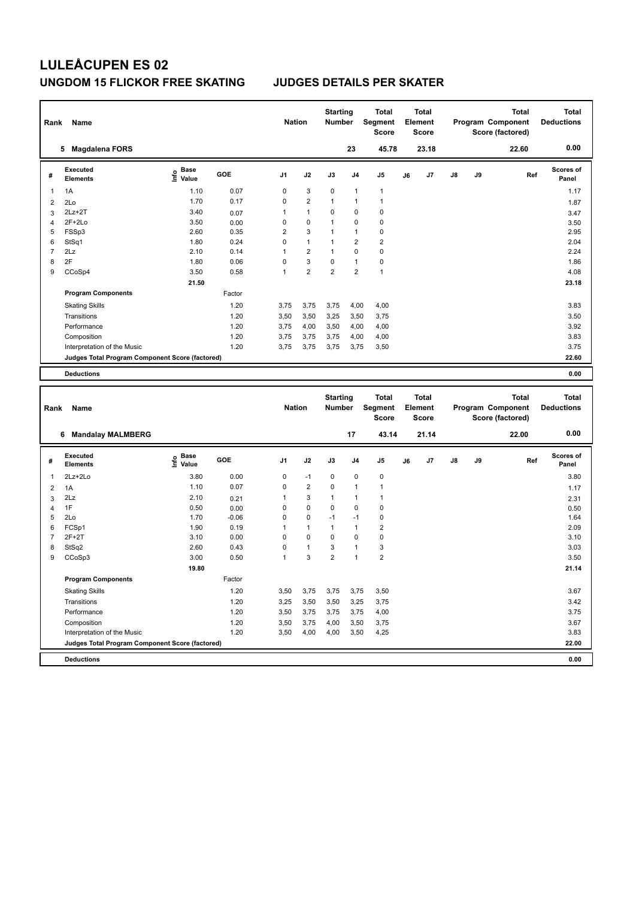| Rank                     | Name<br><b>Magdalena FORS</b><br>5              |                                    |        |                | <b>Nation</b>  | <b>Starting</b><br><b>Number</b> |                | <b>Total</b><br>Segment<br><b>Score</b> |    | <b>Total</b><br>Element<br><b>Score</b> |               |    | <b>Total</b><br>Program Component<br>Score (factored) | <b>Total</b><br><b>Deductions</b> |
|--------------------------|-------------------------------------------------|------------------------------------|--------|----------------|----------------|----------------------------------|----------------|-----------------------------------------|----|-----------------------------------------|---------------|----|-------------------------------------------------------|-----------------------------------|
|                          |                                                 |                                    |        |                |                |                                  | 23             | 45.78                                   |    | 23.18                                   |               |    | 22.60                                                 | 0.00                              |
| #                        | Executed<br><b>Elements</b>                     | <b>Base</b><br>$\frac{6}{5}$ Value | GOE    | J <sub>1</sub> | J2             | J3                               | J <sub>4</sub> | J <sub>5</sub>                          | J6 | J7                                      | $\mathsf{J}8$ | J9 | Ref                                                   | Scores of<br>Panel                |
| $\overline{\phantom{a}}$ | 1A                                              | 1.10                               | 0.07   | 0              | 3              | 0                                | 1              | $\mathbf{1}$                            |    |                                         |               |    |                                                       | 1.17                              |
| $\overline{2}$           | 2Lo                                             | 1.70                               | 0.17   | $\mathbf 0$    | $\overline{2}$ | $\mathbf{1}$                     | 1              | $\mathbf{1}$                            |    |                                         |               |    |                                                       | 1.87                              |
| 3                        | $2Lz+2T$                                        | 3.40                               | 0.07   | 1              | $\mathbf{1}$   | 0                                | 0              | 0                                       |    |                                         |               |    |                                                       | 3.47                              |
| $\Delta$                 | $2F+2Lo$                                        | 3.50                               | 0.00   | 0              | $\mathbf 0$    | $\mathbf{1}$                     | 0              | $\pmb{0}$                               |    |                                         |               |    |                                                       | 3.50                              |
| 5                        | FSSp3                                           | 2.60                               | 0.35   | $\overline{2}$ | 3              | $\mathbf{1}$                     | 1              | $\mathbf 0$                             |    |                                         |               |    |                                                       | 2.95                              |
| 6                        | StSq1                                           | 1.80                               | 0.24   | $\Omega$       | $\mathbf{1}$   | $\mathbf{1}$                     | $\overline{2}$ | $\overline{2}$                          |    |                                         |               |    |                                                       | 2.04                              |
| $\overline{7}$           | 2Lz                                             | 2.10                               | 0.14   | 1              | $\overline{2}$ | $\mathbf{1}$                     | 0              | $\mathbf 0$                             |    |                                         |               |    |                                                       | 2.24                              |
| 8                        | 2F                                              | 1.80                               | 0.06   | $\Omega$       | 3              | 0                                | 1              | 0                                       |    |                                         |               |    |                                                       | 1.86                              |
| 9                        | CCoSp4                                          | 3.50                               | 0.58   | 1              | $\overline{2}$ | $\overline{2}$                   | $\overline{2}$ | $\mathbf{1}$                            |    |                                         |               |    |                                                       | 4.08                              |
|                          |                                                 | 21.50                              |        |                |                |                                  |                |                                         |    |                                         |               |    |                                                       | 23.18                             |
|                          | <b>Program Components</b>                       |                                    | Factor |                |                |                                  |                |                                         |    |                                         |               |    |                                                       |                                   |
|                          | <b>Skating Skills</b>                           |                                    | 1.20   | 3.75           | 3,75           | 3,75                             | 4,00           | 4,00                                    |    |                                         |               |    |                                                       | 3.83                              |
|                          | Transitions                                     |                                    | 1.20   | 3,50           | 3,50           | 3,25                             | 3,50           | 3,75                                    |    |                                         |               |    |                                                       | 3.50                              |
|                          | Performance                                     |                                    | 1.20   | 3,75           | 4,00           | 3,50                             | 4,00           | 4,00                                    |    |                                         |               |    |                                                       | 3.92                              |
|                          | Composition                                     |                                    | 1.20   | 3,75           | 3,75           | 3,75                             | 4,00           | 4,00                                    |    |                                         |               |    |                                                       | 3.83                              |
|                          | Interpretation of the Music                     |                                    | 1.20   | 3,75           | 3,75           | 3,75                             | 3,75           | 3,50                                    |    |                                         |               |    |                                                       | 3.75                              |
|                          | Judges Total Program Component Score (factored) |                                    |        |                |                |                                  |                |                                         |    |                                         |               |    |                                                       | 22.60                             |
|                          | <b>Deductions</b>                               |                                    |        |                |                |                                  |                |                                         |    |                                         |               |    |                                                       | 0.00                              |
|                          |                                                 |                                    |        |                |                |                                  |                |                                         |    |                                         |               |    |                                                       |                                   |
|                          |                                                 |                                    |        |                |                | <b>Starting</b>                  |                | <b>Total</b>                            |    | <b>Total</b>                            |               |    | <b>Total</b>                                          | <b>Total</b>                      |

| Rank           | Name                                            |                                  |         | <b>Nation</b>  |                | <b>Number</b>  |                | Segment<br><b>Score</b> |    | Element<br><b>Score</b> |               |    | Program Component<br>Score (factored) | <b>Deductions</b>         |
|----------------|-------------------------------------------------|----------------------------------|---------|----------------|----------------|----------------|----------------|-------------------------|----|-------------------------|---------------|----|---------------------------------------|---------------------------|
|                | <b>Mandalay MALMBERG</b><br>6                   |                                  |         |                |                |                | 17             | 43.14                   |    | 21.14                   |               |    | 22.00                                 | 0.00                      |
| #              | Executed<br><b>Elements</b>                     | <b>Base</b><br>o Base<br>⊆ Value | GOE     | J <sub>1</sub> | J2             | J3             | J <sub>4</sub> | J <sub>5</sub>          | J6 | J7                      | $\mathsf{J}8$ | J9 | Ref                                   | <b>Scores of</b><br>Panel |
| 1              | $2Lz + 2Lo$                                     | 3.80                             | 0.00    | 0              | $-1$           | 0              | $\mathbf 0$    | 0                       |    |                         |               |    |                                       | 3.80                      |
| 2              | 1A                                              | 1.10                             | 0.07    | 0              | $\overline{2}$ | $\mathbf 0$    | $\overline{1}$ |                         |    |                         |               |    |                                       | 1.17                      |
| 3              | 2Lz                                             | 2.10                             | 0.21    |                | 3              |                | 1              |                         |    |                         |               |    |                                       | 2.31                      |
| 4              | 1F                                              | 0.50                             | 0.00    | 0              | $\mathbf 0$    | $\Omega$       | 0              | 0                       |    |                         |               |    |                                       | 0.50                      |
| 5              | 2Lo                                             | 1.70                             | $-0.06$ | 0              | $\pmb{0}$      | $-1$           | $-1$           | $\pmb{0}$               |    |                         |               |    |                                       | 1.64                      |
| 6              | FCSp1                                           | 1.90                             | 0.19    |                | $\mathbf{1}$   |                | $\overline{1}$ | $\overline{2}$          |    |                         |               |    |                                       | 2.09                      |
| $\overline{7}$ | $2F+2T$                                         | 3.10                             | 0.00    | 0              | 0              | 0              | 0              | 0                       |    |                         |               |    |                                       | 3.10                      |
| 8              | StSq2                                           | 2.60                             | 0.43    | 0              | $\mathbf{1}$   | 3              | $\overline{1}$ | 3                       |    |                         |               |    |                                       | 3.03                      |
| 9              | CCoSp3                                          | 3.00                             | 0.50    | 1              | 3              | $\overline{2}$ | $\overline{1}$ | $\overline{2}$          |    |                         |               |    |                                       | 3.50                      |
|                |                                                 | 19.80                            |         |                |                |                |                |                         |    |                         |               |    |                                       | 21.14                     |
|                | <b>Program Components</b>                       |                                  | Factor  |                |                |                |                |                         |    |                         |               |    |                                       |                           |
|                | <b>Skating Skills</b>                           |                                  | 1.20    | 3,50           | 3,75           | 3,75           | 3,75           | 3,50                    |    |                         |               |    |                                       | 3.67                      |
|                | Transitions                                     |                                  | 1.20    | 3,25           | 3,50           | 3,50           | 3,25           | 3,75                    |    |                         |               |    |                                       | 3.42                      |
|                | Performance                                     |                                  | 1.20    | 3,50           | 3,75           | 3,75           | 3,75           | 4,00                    |    |                         |               |    |                                       | 3.75                      |
|                | Composition                                     |                                  | 1.20    | 3,50           | 3,75           | 4,00           | 3,50           | 3,75                    |    |                         |               |    |                                       | 3.67                      |
|                | Interpretation of the Music                     |                                  | 1.20    | 3,50           | 4,00           | 4,00           | 3,50           | 4,25                    |    |                         |               |    |                                       | 3.83                      |
|                | Judges Total Program Component Score (factored) |                                  |         |                |                |                |                |                         |    |                         |               |    |                                       | 22.00                     |
|                | <b>Deductions</b>                               |                                  |         |                |                |                |                |                         |    |                         |               |    |                                       | 0.00                      |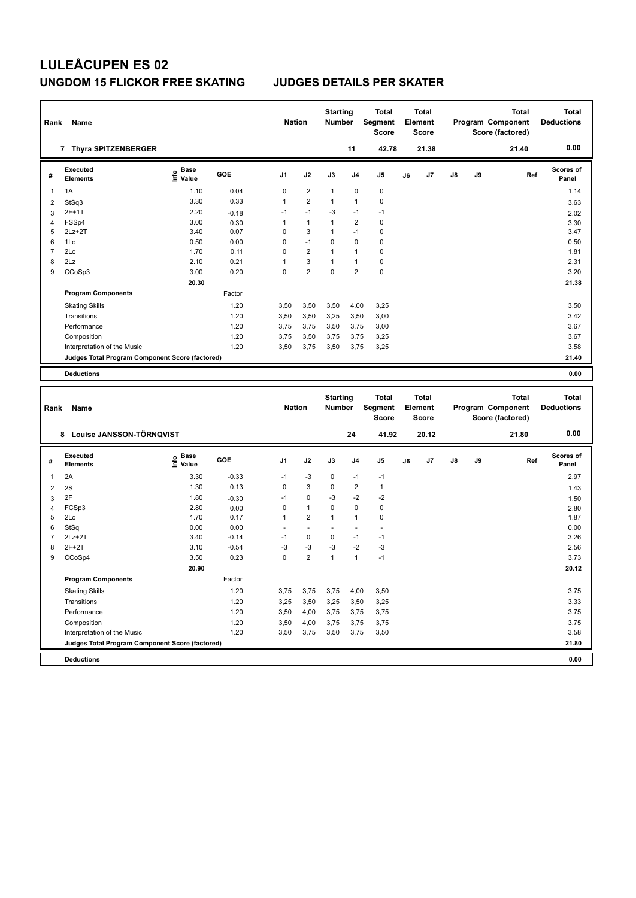| Rank                    | Name                                            |                                  |         | <b>Nation</b>  |                         | <b>Starting</b><br><b>Number</b> |                | <b>Total</b><br>Segment<br><b>Score</b> |    | <b>Total</b><br>Element<br>Score |               |    | <b>Total</b><br>Program Component<br>Score (factored)        | <b>Total</b><br><b>Deductions</b> |
|-------------------------|-------------------------------------------------|----------------------------------|---------|----------------|-------------------------|----------------------------------|----------------|-----------------------------------------|----|----------------------------------|---------------|----|--------------------------------------------------------------|-----------------------------------|
|                         | 7 Thyra SPITZENBERGER                           |                                  |         |                |                         |                                  | 11             | 42.78                                   |    | 21.38                            |               |    | 21.40                                                        | 0.00                              |
| #                       | Executed<br><b>Elements</b>                     | <b>Base</b><br>e Base<br>⊆ Value | GOE     | J <sub>1</sub> | J2                      | J3                               | J <sub>4</sub> | J <sub>5</sub>                          | J6 | J7                               | $\mathsf{J}8$ | J9 | Ref                                                          | <b>Scores of</b><br>Panel         |
| $\overline{\mathbf{1}}$ | 1A                                              | 1.10                             | 0.04    | 0              | $\overline{2}$          | $\mathbf{1}$                     | 0              | $\mathbf 0$                             |    |                                  |               |    |                                                              | 1.14                              |
| $\overline{2}$          | StSq3                                           | 3.30                             | 0.33    | 1              | $\overline{2}$          | 1                                | 1              | $\mathbf 0$                             |    |                                  |               |    |                                                              | 3.63                              |
| 3                       | 2F+1T                                           | 2.20                             | $-0.18$ | $-1$           | $-1$                    | -3                               | $-1$           | $-1$                                    |    |                                  |               |    |                                                              | 2.02                              |
| $\overline{4}$          | FSSp4                                           | 3.00                             | 0.30    | 1              | $\mathbf{1}$            | $\mathbf{1}$                     | $\overline{2}$ | $\mathbf 0$                             |    |                                  |               |    |                                                              | 3.30                              |
| 5                       | $2Lz+2T$                                        | 3.40                             | 0.07    | $\Omega$       | 3                       | $\mathbf{1}$                     | $-1$           | 0                                       |    |                                  |               |    |                                                              | 3.47                              |
| 6                       | 1Lo                                             | 0.50                             | 0.00    | 0              | $-1$                    | 0                                | 0              | 0                                       |    |                                  |               |    |                                                              | 0.50                              |
| $\overline{7}$          | 2Lo                                             | 1.70                             | 0.11    | 0              | $\overline{2}$          | 1                                | $\mathbf{1}$   | $\mathbf 0$                             |    |                                  |               |    |                                                              | 1.81                              |
| 8                       | 2Lz                                             | 2.10                             | 0.21    | $\mathbf 1$    | 3                       | $\mathbf{1}$                     | $\mathbf{1}$   | 0                                       |    |                                  |               |    |                                                              | 2.31                              |
| 9                       | CCoSp3                                          | 3.00                             | 0.20    | 0              | $\overline{\mathbf{c}}$ | 0                                | $\overline{2}$ | $\mathbf 0$                             |    |                                  |               |    |                                                              | 3.20                              |
|                         |                                                 | 20.30                            |         |                |                         |                                  |                |                                         |    |                                  |               |    |                                                              | 21.38                             |
|                         | <b>Program Components</b>                       |                                  | Factor  |                |                         |                                  |                |                                         |    |                                  |               |    |                                                              |                                   |
|                         | <b>Skating Skills</b>                           |                                  | 1.20    | 3,50           | 3,50                    | 3,50                             | 4,00           | 3,25                                    |    |                                  |               |    |                                                              | 3.50                              |
|                         | Transitions                                     |                                  | 1.20    | 3,50           | 3,50                    | 3,25                             | 3,50           | 3,00                                    |    |                                  |               |    |                                                              | 3.42                              |
|                         | Performance                                     |                                  | 1.20    | 3,75           | 3,75                    | 3,50                             | 3,75           | 3,00                                    |    |                                  |               |    |                                                              | 3.67                              |
|                         | Composition                                     |                                  | 1.20    | 3,75           | 3,50                    | 3,75                             | 3,75           | 3,25                                    |    |                                  |               |    |                                                              | 3.67                              |
|                         | Interpretation of the Music                     |                                  | 1.20    | 3,50           | 3,75                    | 3,50                             | 3,75           | 3,25                                    |    |                                  |               |    |                                                              | 3.58                              |
|                         | Judges Total Program Component Score (factored) |                                  |         |                |                         |                                  |                |                                         |    |                                  |               |    |                                                              | 21.40                             |
|                         | <b>Deductions</b>                               |                                  |         |                |                         |                                  |                |                                         |    |                                  |               |    |                                                              | 0.00                              |
|                         |                                                 |                                  |         |                |                         |                                  |                |                                         |    |                                  |               |    |                                                              |                                   |
| Rank                    | Name                                            |                                  |         | <b>Nation</b>  |                         | <b>Starting</b><br><b>Number</b> |                | <b>Total</b><br>Segment<br><b>Score</b> |    | Total<br>Element<br><b>Score</b> |               |    | <b>Total</b><br><b>Program Component</b><br>Score (factored) | Total<br><b>Deductions</b>        |

|                |                                                 |                                  |         |                |                          |                |                | Score                    |    | <b>Score</b> |               |    | Score (factored) |                           |
|----------------|-------------------------------------------------|----------------------------------|---------|----------------|--------------------------|----------------|----------------|--------------------------|----|--------------|---------------|----|------------------|---------------------------|
|                | Louise JANSSON-TÖRNQVIST<br>8                   |                                  |         |                |                          |                | 24             | 41.92                    |    | 20.12        |               |    | 21.80            | 0.00                      |
| #              | Executed<br><b>Elements</b>                     | <b>Base</b><br>o Base<br>⊆ Value | GOE     | J <sub>1</sub> | J2                       | J3             | J <sub>4</sub> | J <sub>5</sub>           | J6 | J7           | $\mathsf{J}8$ | J9 | Ref              | <b>Scores of</b><br>Panel |
| $\overline{1}$ | 2A                                              | 3.30                             | $-0.33$ | $-1$           | $-3$                     | 0              | $-1$           | $-1$                     |    |              |               |    |                  | 2.97                      |
| $\overline{2}$ | 2S                                              | 1.30                             | 0.13    | 0              | 3                        | $\mathbf 0$    | $\overline{2}$ | $\mathbf{1}$             |    |              |               |    |                  | 1.43                      |
| 3              | 2F                                              | 1.80                             | $-0.30$ | $-1$           | $\mathbf 0$              | $-3$           | $-2$           | $-2$                     |    |              |               |    |                  | 1.50                      |
| $\overline{4}$ | FCSp3                                           | 2.80                             | 0.00    | 0              | $\mathbf{1}$             | $\Omega$       | $\mathbf 0$    | $\pmb{0}$                |    |              |               |    |                  | 2.80                      |
| 5              | 2Lo                                             | 1.70                             | 0.17    | 1              | $\overline{2}$           | $\overline{1}$ | $\overline{1}$ | 0                        |    |              |               |    |                  | 1.87                      |
| 6              | StSq                                            | 0.00                             | 0.00    | ٠              | $\overline{\phantom{a}}$ |                |                | $\overline{\phantom{a}}$ |    |              |               |    |                  | 0.00                      |
| $\overline{7}$ | $2Lz+2T$                                        | 3.40                             | $-0.14$ | $-1$           | $\mathbf 0$              | 0              | $-1$           | $-1$                     |    |              |               |    |                  | 3.26                      |
| 8              | $2F+2T$                                         | 3.10                             | $-0.54$ | -3             | $-3$                     | $-3$           | $-2$           | $-3$                     |    |              |               |    |                  | 2.56                      |
| 9              | CCoSp4                                          | 3.50                             | 0.23    | 0              | $\overline{2}$           | 1              | $\overline{1}$ | $-1$                     |    |              |               |    |                  | 3.73                      |
|                |                                                 | 20.90                            |         |                |                          |                |                |                          |    |              |               |    |                  | 20.12                     |
|                | <b>Program Components</b>                       |                                  | Factor  |                |                          |                |                |                          |    |              |               |    |                  |                           |
|                | <b>Skating Skills</b>                           |                                  | 1.20    | 3,75           | 3,75                     | 3,75           | 4,00           | 3,50                     |    |              |               |    |                  | 3.75                      |
|                | Transitions                                     |                                  | 1.20    | 3,25           | 3,50                     | 3,25           | 3,50           | 3,25                     |    |              |               |    |                  | 3.33                      |
|                | Performance                                     |                                  | 1.20    | 3,50           | 4,00                     | 3,75           | 3,75           | 3,75                     |    |              |               |    |                  | 3.75                      |
|                | Composition                                     |                                  | 1.20    | 3,50           | 4,00                     | 3,75           | 3,75           | 3,75                     |    |              |               |    |                  | 3.75                      |
|                | Interpretation of the Music                     |                                  | 1.20    | 3,50           | 3,75                     | 3,50           | 3,75           | 3,50                     |    |              |               |    |                  | 3.58                      |
|                | Judges Total Program Component Score (factored) |                                  |         |                |                          |                |                |                          |    |              |               |    |                  | 21.80                     |
|                | <b>Deductions</b>                               |                                  |         |                |                          |                |                |                          |    |              |               |    |                  | 0.00                      |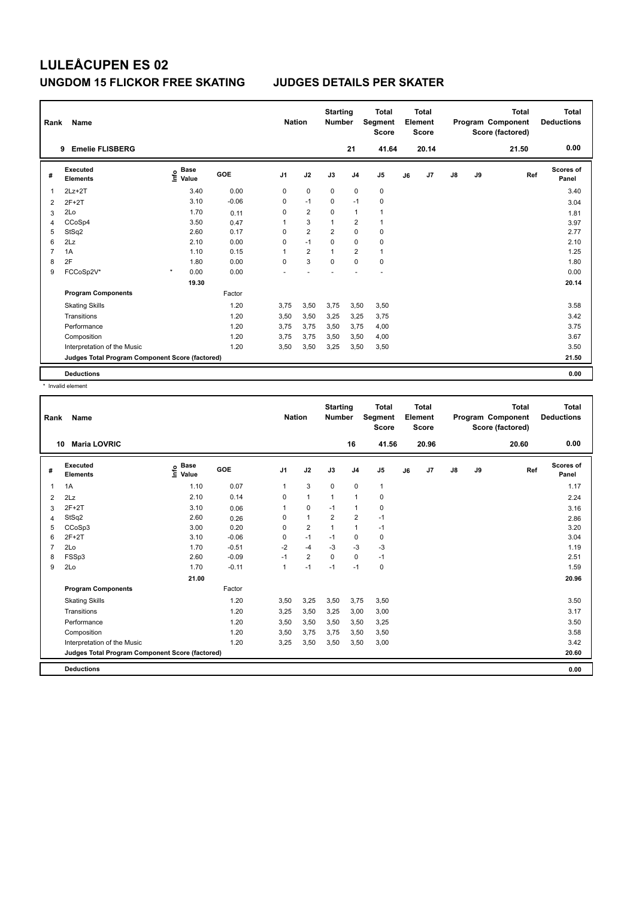| Rank | Name                                            |                                  |         | <b>Nation</b>  |                         | <b>Starting</b><br><b>Number</b> |                | <b>Total</b><br>Segment<br><b>Score</b> |    | <b>Total</b><br>Element<br><b>Score</b> |    |    | <b>Total</b><br>Program Component<br>Score (factored) | <b>Total</b><br><b>Deductions</b> |
|------|-------------------------------------------------|----------------------------------|---------|----------------|-------------------------|----------------------------------|----------------|-----------------------------------------|----|-----------------------------------------|----|----|-------------------------------------------------------|-----------------------------------|
|      | <b>Emelie FLISBERG</b><br>9                     |                                  |         |                |                         |                                  | 21             | 41.64                                   |    | 20.14                                   |    |    | 21.50                                                 | 0.00                              |
| #    | Executed<br><b>Elements</b>                     | <b>Base</b><br>e Base<br>⊆ Value | GOE     | J <sub>1</sub> | J2                      | J3                               | J <sub>4</sub> | J5                                      | J6 | J7                                      | J8 | J9 | Ref                                                   | <b>Scores of</b><br>Panel         |
| 1    | $2Lz+2T$                                        | 3.40                             | 0.00    | 0              | $\mathbf 0$             | $\mathbf 0$                      | $\pmb{0}$      | $\pmb{0}$                               |    |                                         |    |    |                                                       | 3.40                              |
| 2    | $2F+2T$                                         | 3.10                             | $-0.06$ | 0              | $-1$                    | 0                                | $-1$           | 0                                       |    |                                         |    |    |                                                       | 3.04                              |
| 3    | 2Lo                                             | 1.70                             | 0.11    | 0              | $\overline{2}$          | $\Omega$                         | $\mathbf{1}$   | $\mathbf 1$                             |    |                                         |    |    |                                                       | 1.81                              |
| 4    | CCoSp4                                          | 3.50                             | 0.47    | 1              | 3                       | $\overline{1}$                   | $\overline{2}$ | $\mathbf{1}$                            |    |                                         |    |    |                                                       | 3.97                              |
| 5    | StSq2                                           | 2.60                             | 0.17    | 0              | $\overline{\mathbf{c}}$ | $\overline{2}$                   | $\pmb{0}$      | 0                                       |    |                                         |    |    |                                                       | 2.77                              |
| 6    | 2Lz                                             | 2.10                             | 0.00    | 0              | $-1$                    | 0                                | 0              | $\mathbf 0$                             |    |                                         |    |    |                                                       | 2.10                              |
| 7    | 1A                                              | 1.10                             | 0.15    | 1              | $\overline{2}$          | $\overline{1}$                   | $\overline{2}$ | $\mathbf{1}$                            |    |                                         |    |    |                                                       | 1.25                              |
| 8    | 2F                                              | 1.80                             | 0.00    | 0              | 3                       | $\mathbf 0$                      | $\mathbf 0$    | $\pmb{0}$                               |    |                                         |    |    |                                                       | 1.80                              |
| 9    | FCCoSp2V*                                       | $\star$<br>0.00                  | 0.00    |                |                         |                                  |                |                                         |    |                                         |    |    |                                                       | 0.00                              |
|      |                                                 | 19.30                            |         |                |                         |                                  |                |                                         |    |                                         |    |    |                                                       | 20.14                             |
|      | <b>Program Components</b>                       |                                  | Factor  |                |                         |                                  |                |                                         |    |                                         |    |    |                                                       |                                   |
|      | <b>Skating Skills</b>                           |                                  | 1.20    | 3,75           | 3,50                    | 3,75                             | 3,50           | 3,50                                    |    |                                         |    |    |                                                       | 3.58                              |
|      | Transitions                                     |                                  | 1.20    | 3,50           | 3,50                    | 3,25                             | 3,25           | 3,75                                    |    |                                         |    |    |                                                       | 3.42                              |
|      | Performance                                     |                                  | 1.20    | 3,75           | 3,75                    | 3,50                             | 3,75           | 4,00                                    |    |                                         |    |    |                                                       | 3.75                              |
|      | Composition                                     |                                  | 1.20    | 3,75           | 3,75                    | 3,50                             | 3,50           | 4,00                                    |    |                                         |    |    |                                                       | 3.67                              |
|      | Interpretation of the Music                     |                                  | 1.20    | 3,50           | 3,50                    | 3,25                             | 3,50           | 3,50                                    |    |                                         |    |    |                                                       | 3.50                              |
|      | Judges Total Program Component Score (factored) |                                  |         |                |                         |                                  |                |                                         |    |                                         |    |    |                                                       | 21.50                             |
|      | <b>Deductions</b>                               |                                  |         |                |                         |                                  |                |                                         |    |                                         |    |    |                                                       | 0.00                              |

\* Invalid element

| Rank           | <b>Name</b>                                     |                                  |         | <b>Nation</b>  |                | <b>Starting</b><br><b>Number</b> |                | <b>Total</b><br>Segment<br><b>Score</b> |    | <b>Total</b><br>Element<br><b>Score</b> |    |    | <b>Total</b><br>Program Component<br>Score (factored) | <b>Total</b><br><b>Deductions</b> |
|----------------|-------------------------------------------------|----------------------------------|---------|----------------|----------------|----------------------------------|----------------|-----------------------------------------|----|-----------------------------------------|----|----|-------------------------------------------------------|-----------------------------------|
| 10             | <b>Maria LOVRIC</b>                             |                                  |         |                |                |                                  | 16             | 41.56                                   |    | 20.96                                   |    |    | 20.60                                                 | 0.00                              |
| #              | Executed<br><b>Elements</b>                     | <b>Base</b><br>e Base<br>⊑ Value | GOE     | J <sub>1</sub> | J2             | J3                               | J <sub>4</sub> | J <sub>5</sub>                          | J6 | J7                                      | J8 | J9 | Ref                                                   | <b>Scores of</b><br>Panel         |
| $\mathbf{1}$   | 1A                                              | 1.10                             | 0.07    | 1              | 3              | $\mathbf 0$                      | $\mathbf 0$    | $\mathbf{1}$                            |    |                                         |    |    |                                                       | 1.17                              |
| 2              | 2Lz                                             | 2.10                             | 0.14    | $\Omega$       | $\mathbf{1}$   | $\mathbf{1}$                     | $\mathbf{1}$   | 0                                       |    |                                         |    |    |                                                       | 2.24                              |
| 3              | $2F+2T$                                         | 3.10                             | 0.06    | 1              | 0              | $-1$                             | $\mathbf{1}$   | 0                                       |    |                                         |    |    |                                                       | 3.16                              |
| 4              | StSq2                                           | 2.60                             | 0.26    | 0              | $\mathbf{1}$   | 2                                | $\overline{2}$ | $-1$                                    |    |                                         |    |    |                                                       | 2.86                              |
| 5              | CCoSp3                                          | 3.00                             | 0.20    | $\Omega$       | $\overline{2}$ | $\mathbf{1}$                     | $\mathbf{1}$   | $-1$                                    |    |                                         |    |    |                                                       | 3.20                              |
| 6              | $2F+2T$                                         | 3.10                             | $-0.06$ | $\Omega$       | $-1$           | $-1$                             | 0              | 0                                       |    |                                         |    |    |                                                       | 3.04                              |
| $\overline{7}$ | 2Lo                                             | 1.70                             | $-0.51$ | $-2$           | -4             | $-3$                             | $-3$           | $-3$                                    |    |                                         |    |    |                                                       | 1.19                              |
| 8              | FSSp3                                           | 2.60                             | $-0.09$ | $-1$           | $\overline{2}$ | $\Omega$                         | $\mathbf 0$    | $-1$                                    |    |                                         |    |    |                                                       | 2.51                              |
| 9              | 2Lo                                             | 1.70                             | $-0.11$ | $\mathbf{1}$   | $-1$           | $-1$                             | $-1$           | 0                                       |    |                                         |    |    |                                                       | 1.59                              |
|                |                                                 | 21.00                            |         |                |                |                                  |                |                                         |    |                                         |    |    |                                                       | 20.96                             |
|                | <b>Program Components</b>                       |                                  | Factor  |                |                |                                  |                |                                         |    |                                         |    |    |                                                       |                                   |
|                | <b>Skating Skills</b>                           |                                  | 1.20    | 3,50           | 3,25           | 3,50                             | 3,75           | 3,50                                    |    |                                         |    |    |                                                       | 3.50                              |
|                | Transitions                                     |                                  | 1.20    | 3,25           | 3,50           | 3,25                             | 3,00           | 3,00                                    |    |                                         |    |    |                                                       | 3.17                              |
|                | Performance                                     |                                  | 1.20    | 3,50           | 3,50           | 3,50                             | 3,50           | 3,25                                    |    |                                         |    |    |                                                       | 3.50                              |
|                | Composition                                     |                                  | 1.20    | 3,50           | 3,75           | 3,75                             | 3,50           | 3,50                                    |    |                                         |    |    |                                                       | 3.58                              |
|                | Interpretation of the Music                     |                                  | 1.20    | 3,25           | 3,50           | 3,50                             | 3,50           | 3,00                                    |    |                                         |    |    |                                                       | 3.42                              |
|                | Judges Total Program Component Score (factored) |                                  |         |                |                |                                  |                |                                         |    |                                         |    |    |                                                       | 20.60                             |
|                | <b>Deductions</b>                               |                                  |         |                |                |                                  |                |                                         |    |                                         |    |    |                                                       | 0.00                              |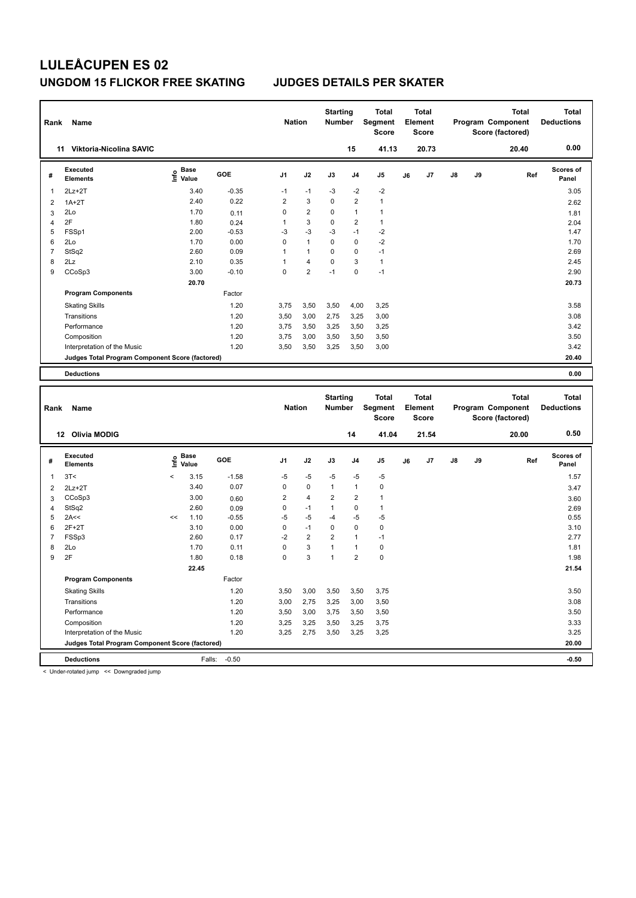| Rank           | Name                                            |                             |                   |         | <b>Nation</b>  |                | <b>Starting</b><br><b>Number</b> |                | <b>Total</b><br>Segment<br><b>Score</b> |    | <b>Total</b><br>Element<br><b>Score</b> |    |    | <b>Total</b><br>Program Component<br>Score (factored) | <b>Total</b><br><b>Deductions</b> |
|----------------|-------------------------------------------------|-----------------------------|-------------------|---------|----------------|----------------|----------------------------------|----------------|-----------------------------------------|----|-----------------------------------------|----|----|-------------------------------------------------------|-----------------------------------|
|                | 11 Viktoria-Nicolina SAVIC                      |                             |                   |         |                |                |                                  | 15             | 41.13                                   |    | 20.73                                   |    |    | 20.40                                                 | 0.00                              |
| #              | <b>Executed</b><br><b>Elements</b>              |                             | e Base<br>E Value | GOE     | J <sub>1</sub> | J2             | J3                               | J <sub>4</sub> | J <sub>5</sub>                          | J6 | J7                                      | J8 | J9 | Ref                                                   | Scores of<br>Panel                |
| $\mathbf{1}$   | $2Lz + 2T$                                      |                             | 3.40              | $-0.35$ | $-1$           | $-1$           | $-3$                             | $-2$           | $-2$                                    |    |                                         |    |    |                                                       | 3.05                              |
| $\overline{2}$ | $1A+2T$                                         |                             | 2.40              | 0.22    | $\overline{2}$ | 3              | 0                                | $\overline{2}$ | $\mathbf{1}$                            |    |                                         |    |    |                                                       | 2.62                              |
| 3              | 2Lo                                             |                             | 1.70              | 0.11    | $\mathbf 0$    | $\overline{2}$ | $\mathbf 0$                      | 1              | $\mathbf{1}$                            |    |                                         |    |    |                                                       | 1.81                              |
| $\overline{4}$ | 2F                                              |                             | 1.80              | 0.24    | $\mathbf{1}$   | 3              | 0                                | $\overline{2}$ | $\mathbf{1}$                            |    |                                         |    |    |                                                       | 2.04                              |
| 5              | FSSp1                                           |                             | 2.00              | $-0.53$ | -3             | $-3$           | $-3$                             | $-1$           | $-2$                                    |    |                                         |    |    |                                                       | 1.47                              |
| 6              | 2Lo                                             |                             | 1.70              | 0.00    | $\mathbf 0$    | $\mathbf{1}$   | 0                                | $\mathbf 0$    | $-2$                                    |    |                                         |    |    |                                                       | 1.70                              |
| $\overline{7}$ | StSq2                                           |                             | 2.60              | 0.09    | $\mathbf{1}$   | $\mathbf{1}$   | $\mathbf 0$                      | $\mathbf 0$    | $-1$                                    |    |                                         |    |    |                                                       | 2.69                              |
| 8              | 2Lz                                             |                             | 2.10              | 0.35    | 1              | $\overline{4}$ | 0                                | 3              | $\mathbf{1}$                            |    |                                         |    |    |                                                       | 2.45                              |
| 9              | CCoSp3                                          |                             | 3.00              | $-0.10$ | $\mathbf 0$    | $\overline{2}$ | $-1$                             | 0              | $-1$                                    |    |                                         |    |    |                                                       | 2.90                              |
|                |                                                 |                             | 20.70             |         |                |                |                                  |                |                                         |    |                                         |    |    |                                                       | 20.73                             |
|                | <b>Program Components</b>                       |                             |                   | Factor  |                |                |                                  |                |                                         |    |                                         |    |    |                                                       |                                   |
|                | <b>Skating Skills</b>                           |                             |                   | 1.20    | 3,75           | 3,50           | 3,50                             | 4,00           | 3,25                                    |    |                                         |    |    |                                                       | 3.58                              |
|                | Transitions                                     |                             |                   | 1.20    | 3,50           | 3,00           | 2,75                             | 3,25           | 3,00                                    |    |                                         |    |    |                                                       | 3.08                              |
|                | Performance                                     |                             |                   | 1.20    | 3,75           | 3,50           | 3,25                             | 3,50           | 3,25                                    |    |                                         |    |    |                                                       | 3.42                              |
|                | Composition                                     |                             |                   | 1.20    | 3,75           | 3,00           | 3,50                             | 3,50           | 3,50                                    |    |                                         |    |    |                                                       | 3.50                              |
|                | Interpretation of the Music                     |                             |                   | 1.20    | 3,50           | 3,50           | 3,25                             | 3,50           | 3,00                                    |    |                                         |    |    |                                                       | 3.42                              |
|                | Judges Total Program Component Score (factored) |                             |                   |         |                |                |                                  |                |                                         |    |                                         |    |    |                                                       | 20.40                             |
|                | <b>Deductions</b>                               |                             |                   |         |                |                |                                  |                |                                         |    |                                         |    |    |                                                       | 0.00                              |
| Rank           | Name                                            |                             |                   |         | <b>Nation</b>  |                | <b>Starting</b><br><b>Number</b> |                | <b>Total</b><br>Segment                 |    | <b>Total</b><br>Element                 |    |    | <b>Total</b><br>Program Component                     | <b>Total</b><br><b>Deductions</b> |
|                |                                                 |                             |                   |         |                |                |                                  |                | <b>Score</b>                            |    | Score                                   |    |    | Score (factored)                                      |                                   |
|                | 12 Olivia MODIG                                 |                             |                   |         |                |                |                                  | 14             | 41.04                                   |    | 21.54                                   |    |    | 20.00                                                 | 0.50                              |
| #              | Executed<br><b>Elements</b>                     | $\frac{e}{E}$ Base<br>Malue | Value             | GOE     | J <sub>1</sub> | J2             | J3                               | J <sub>4</sub> | J <sub>5</sub>                          | J6 | J7                                      | J8 | J9 | Ref                                                   | Scores of<br>Panel                |
| $\mathbf{1}$   | 3T<                                             | $\,<$                       | 3.15              | $-1.58$ | $-5$           | $-5$           | $-5$                             | $-5$           | $-5$                                    |    |                                         |    |    |                                                       | 1.57                              |
| $\overline{2}$ | $2Lz+2T$                                        |                             | 3.40              | 0.07    | $\mathbf 0$    | 0              | $\mathbf{1}$                     | $\mathbf{1}$   | $\mathbf 0$                             |    |                                         |    |    |                                                       | 3.47                              |
| 3              | CCoSp3                                          |                             | 3.00              | 0.60    | $\overline{2}$ | $\overline{4}$ | $\overline{2}$                   | 2              | $\mathbf{1}$                            |    |                                         |    |    |                                                       | 3.60                              |
| $\overline{4}$ | StSq2                                           |                             | 2.60              | 0.09    | $\mathbf 0$    | $-1$           | $\mathbf{1}$                     | $\mathbf 0$    | $\mathbf{1}$                            |    |                                         |    |    |                                                       | 2.69                              |
| 5              | 2A<<                                            | <<                          | 1.10              | $-0.55$ | $-5$           | $-5$           | $-4$                             | $-5$           | $-5$                                    |    |                                         |    |    |                                                       | 0.55                              |
| 6              | $2F+2T$                                         |                             | 3.10              | 0.00    | 0              | $-1$           | 0                                | $\mathbf 0$    | $\mathbf 0$                             |    |                                         |    |    |                                                       | 3.10                              |
| $\overline{7}$ | FSSp3                                           |                             | 2.60              | 0.17    | $-2$           | $\overline{2}$ | $\overline{2}$                   | $\overline{1}$ | $-1$                                    |    |                                         |    |    |                                                       | 2.77                              |
|                |                                                 |                             |                   |         |                |                |                                  |                |                                         |    |                                         |    |    |                                                       |                                   |

|   | FSS <sub>p3</sub>                               | 2.60  | 0.17   | -2   | 2    | 2    |      | $-1$ | 2.77  |  |
|---|-------------------------------------------------|-------|--------|------|------|------|------|------|-------|--|
| 8 | 2Lo                                             | 1.70  | 0.11   | 0    | 3    |      |      | 0    | 1.81  |  |
| 9 | 2F                                              | 1.80  | 0.18   | 0    | 3    |      | 2    | 0    | 1.98  |  |
|   |                                                 | 22.45 |        |      |      |      |      |      | 21.54 |  |
|   | <b>Program Components</b>                       |       | Factor |      |      |      |      |      |       |  |
|   | <b>Skating Skills</b>                           |       | 1.20   | 3,50 | 3,00 | 3,50 | 3,50 | 3,75 | 3.50  |  |
|   | Transitions                                     |       | 1.20   | 3,00 | 2,75 | 3,25 | 3,00 | 3,50 | 3.08  |  |
|   | Performance                                     |       | 1.20   | 3,50 | 3,00 | 3,75 | 3,50 | 3,50 | 3.50  |  |
|   | Composition                                     |       | 1.20   | 3,25 | 3,25 | 3,50 | 3,25 | 3,75 | 3.33  |  |
|   | Interpretation of the Music                     |       | 1.20   | 3,25 | 2,75 | 3,50 | 3,25 | 3,25 | 3.25  |  |
|   | Judges Total Program Component Score (factored) |       |        |      |      |      |      |      | 20.00 |  |
|   |                                                 |       |        |      |      |      |      |      |       |  |

**Deductions** Falls: -0.50 **-0.50**

< Under-rotated jump << Downgraded jump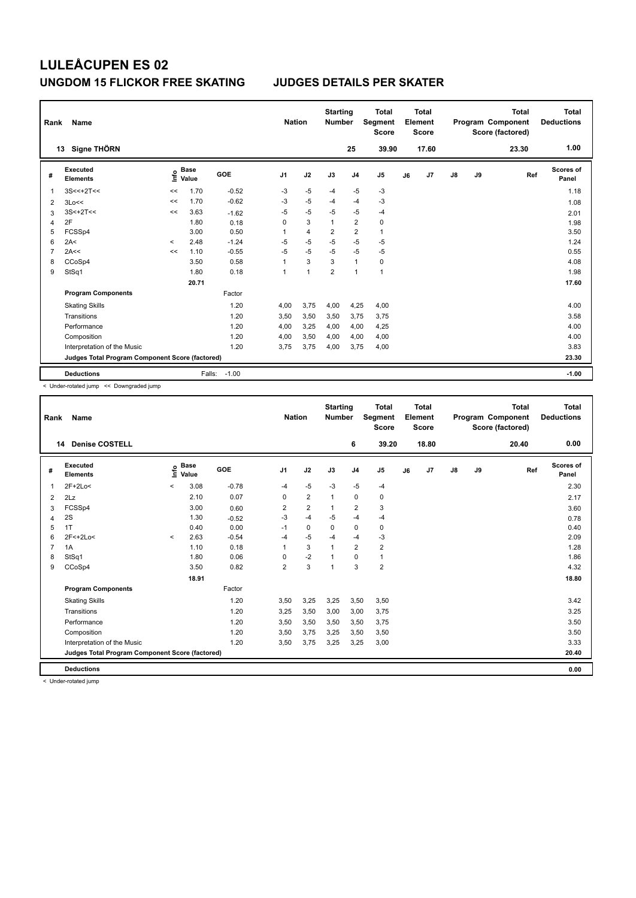| Rank | Name                                            |         |                      |            | <b>Nation</b>  |                | <b>Starting</b><br><b>Number</b> |                | <b>Total</b><br>Segment<br><b>Score</b> |    | Total<br>Element<br><b>Score</b> |               |    | <b>Total</b><br>Program Component<br>Score (factored) | Total<br><b>Deductions</b> |
|------|-------------------------------------------------|---------|----------------------|------------|----------------|----------------|----------------------------------|----------------|-----------------------------------------|----|----------------------------------|---------------|----|-------------------------------------------------------|----------------------------|
|      | Signe THÖRN<br>13                               |         |                      |            |                |                |                                  | 25             | 39.90                                   |    | 17.60                            |               |    | 23.30                                                 | 1.00                       |
| #    | <b>Executed</b><br><b>Elements</b>              | ١nf٥    | <b>Base</b><br>Value | <b>GOE</b> | J <sub>1</sub> | J2             | J3                               | J <sub>4</sub> | J5                                      | J6 | J7                               | $\mathsf{J}8$ | J9 | Ref                                                   | <b>Scores of</b><br>Panel  |
| 1    | $3S<<+2T<<$                                     | <<      | 1.70                 | $-0.52$    | $-3$           | $-5$           | $-4$                             | $-5$           | -3                                      |    |                                  |               |    |                                                       | 1.18                       |
| 2    | 3Lo<<                                           | <<      | 1.70                 | $-0.62$    | $-3$           | $-5$           | $-4$                             | $-4$           | $-3$                                    |    |                                  |               |    |                                                       | 1.08                       |
| 3    | $3S<+2T<<$                                      | <<      | 3.63                 | $-1.62$    | $-5$           | $-5$           | $-5$                             | $-5$           | $-4$                                    |    |                                  |               |    |                                                       | 2.01                       |
| 4    | 2F                                              |         | 1.80                 | 0.18       | 0              | 3              | $\mathbf{1}$                     | $\overline{2}$ | $\pmb{0}$                               |    |                                  |               |    |                                                       | 1.98                       |
| 5    | FCSSp4                                          |         | 3.00                 | 0.50       | 1              | $\overline{4}$ | $\overline{2}$                   | $\overline{2}$ | $\mathbf{1}$                            |    |                                  |               |    |                                                       | 3.50                       |
| 6    | 2A<                                             | $\prec$ | 2.48                 | $-1.24$    | $-5$           | $-5$           | $-5$                             | $-5$           | $-5$                                    |    |                                  |               |    |                                                       | 1.24                       |
| 7    | 2A<<                                            | <<      | 1.10                 | $-0.55$    | $-5$           | $-5$           | $-5$                             | $-5$           | $-5$                                    |    |                                  |               |    |                                                       | 0.55                       |
| 8    | CCoSp4                                          |         | 3.50                 | 0.58       | 1              | 3              | 3                                | $\overline{1}$ | 0                                       |    |                                  |               |    |                                                       | 4.08                       |
| 9    | StSq1                                           |         | 1.80                 | 0.18       | 1              | $\overline{1}$ | $\overline{2}$                   | $\overline{1}$ | $\mathbf{1}$                            |    |                                  |               |    |                                                       | 1.98                       |
|      |                                                 |         | 20.71                |            |                |                |                                  |                |                                         |    |                                  |               |    |                                                       | 17.60                      |
|      | <b>Program Components</b>                       |         |                      | Factor     |                |                |                                  |                |                                         |    |                                  |               |    |                                                       |                            |
|      | <b>Skating Skills</b>                           |         |                      | 1.20       | 4,00           | 3,75           | 4,00                             | 4,25           | 4,00                                    |    |                                  |               |    |                                                       | 4.00                       |
|      | Transitions                                     |         |                      | 1.20       | 3,50           | 3,50           | 3,50                             | 3,75           | 3,75                                    |    |                                  |               |    |                                                       | 3.58                       |
|      | Performance                                     |         |                      | 1.20       | 4,00           | 3,25           | 4,00                             | 4,00           | 4,25                                    |    |                                  |               |    |                                                       | 4.00                       |
|      | Composition                                     |         |                      | 1.20       | 4,00           | 3,50           | 4,00                             | 4,00           | 4,00                                    |    |                                  |               |    |                                                       | 4.00                       |
|      | Interpretation of the Music                     |         |                      | 1.20       | 3.75           | 3,75           | 4,00                             | 3,75           | 4,00                                    |    |                                  |               |    |                                                       | 3.83                       |
|      | Judges Total Program Component Score (factored) |         |                      |            |                |                |                                  |                |                                         |    |                                  |               |    |                                                       | 23.30                      |
|      | <b>Deductions</b>                               |         | Falls:               | $-1.00$    |                |                |                                  |                |                                         |    |                                  |               |    |                                                       | $-1.00$                    |

< Under-rotated jump << Downgraded jump

| Rank           | Name                                            |         |                                  |         | <b>Nation</b>  |                | <b>Starting</b><br><b>Number</b> |                         | Total<br>Segment<br><b>Score</b> |    | Total<br>Element<br><b>Score</b> |               |    | <b>Total</b><br>Program Component<br>Score (factored) | Total<br><b>Deductions</b> |
|----------------|-------------------------------------------------|---------|----------------------------------|---------|----------------|----------------|----------------------------------|-------------------------|----------------------------------|----|----------------------------------|---------------|----|-------------------------------------------------------|----------------------------|
| 14             | <b>Denise COSTELL</b>                           |         |                                  |         |                |                |                                  | 6                       | 39.20                            |    | 18.80                            |               |    | 20.40                                                 | 0.00                       |
| #              | Executed<br><b>Elements</b>                     |         | <b>Base</b><br>e Base<br>⊆ Value | GOE     | J <sub>1</sub> | J2             | J3                               | J <sub>4</sub>          | J <sub>5</sub>                   | J6 | J7                               | $\mathsf{J}8$ | J9 | Ref                                                   | <b>Scores of</b><br>Panel  |
| $\mathbf{1}$   | $2F+2Lo<$                                       | $\prec$ | 3.08                             | $-0.78$ | $-4$           | $-5$           | $-3$                             | $-5$                    | $-4$                             |    |                                  |               |    |                                                       | 2.30                       |
| $\overline{2}$ | 2Lz                                             |         | 2.10                             | 0.07    | 0              | $\overline{2}$ | $\mathbf{1}$                     | 0                       | 0                                |    |                                  |               |    |                                                       | 2.17                       |
| 3              | FCSSp4                                          |         | 3.00                             | 0.60    | 2              | $\overline{2}$ | $\mathbf{1}$                     | $\overline{\mathbf{c}}$ | 3                                |    |                                  |               |    |                                                       | 3.60                       |
| 4              | 2S                                              |         | 1.30                             | $-0.52$ | $-3$           | $-4$           | $-5$                             | $-4$                    | $-4$                             |    |                                  |               |    |                                                       | 0.78                       |
| 5              | 1T                                              |         | 0.40                             | 0.00    | $-1$           | $\mathbf 0$    | $\mathbf 0$                      | $\mathbf 0$             | $\mathbf 0$                      |    |                                  |               |    |                                                       | 0.40                       |
| 6              | 2F<+2Lo<                                        | $\prec$ | 2.63                             | $-0.54$ | $-4$           | $-5$           | $-4$                             | $-4$                    | $-3$                             |    |                                  |               |    |                                                       | 2.09                       |
| $\overline{7}$ | 1A                                              |         | 1.10                             | 0.18    |                | 3              | 1                                | $\overline{\mathbf{c}}$ | $\overline{\mathbf{c}}$          |    |                                  |               |    |                                                       | 1.28                       |
| 8              | StSq1                                           |         | 1.80                             | 0.06    | 0              | $-2$           | $\overline{1}$                   | $\mathbf 0$             | $\mathbf{1}$                     |    |                                  |               |    |                                                       | 1.86                       |
| 9              | CCoSp4                                          |         | 3.50                             | 0.82    | $\overline{2}$ | 3              | $\overline{1}$                   | 3                       | $\overline{2}$                   |    |                                  |               |    |                                                       | 4.32                       |
|                |                                                 |         | 18.91                            |         |                |                |                                  |                         |                                  |    |                                  |               |    |                                                       | 18.80                      |
|                | <b>Program Components</b>                       |         |                                  | Factor  |                |                |                                  |                         |                                  |    |                                  |               |    |                                                       |                            |
|                | <b>Skating Skills</b>                           |         |                                  | 1.20    | 3,50           | 3,25           | 3,25                             | 3,50                    | 3,50                             |    |                                  |               |    |                                                       | 3.42                       |
|                | Transitions                                     |         |                                  | 1.20    | 3,25           | 3,50           | 3,00                             | 3,00                    | 3,75                             |    |                                  |               |    |                                                       | 3.25                       |
|                | Performance                                     |         |                                  | 1.20    | 3,50           | 3,50           | 3,50                             | 3,50                    | 3,75                             |    |                                  |               |    |                                                       | 3.50                       |
|                | Composition                                     |         |                                  | 1.20    | 3,50           | 3,75           | 3,25                             | 3,50                    | 3,50                             |    |                                  |               |    |                                                       | 3.50                       |
|                | Interpretation of the Music                     |         |                                  | 1.20    | 3,50           | 3,75           | 3,25                             | 3,25                    | 3,00                             |    |                                  |               |    |                                                       | 3.33                       |
|                | Judges Total Program Component Score (factored) |         |                                  |         |                |                |                                  |                         |                                  |    |                                  |               |    |                                                       | 20.40                      |
|                | <b>Deductions</b>                               |         |                                  |         |                |                |                                  |                         |                                  |    |                                  |               |    |                                                       | 0.00                       |

< Under-rotated jump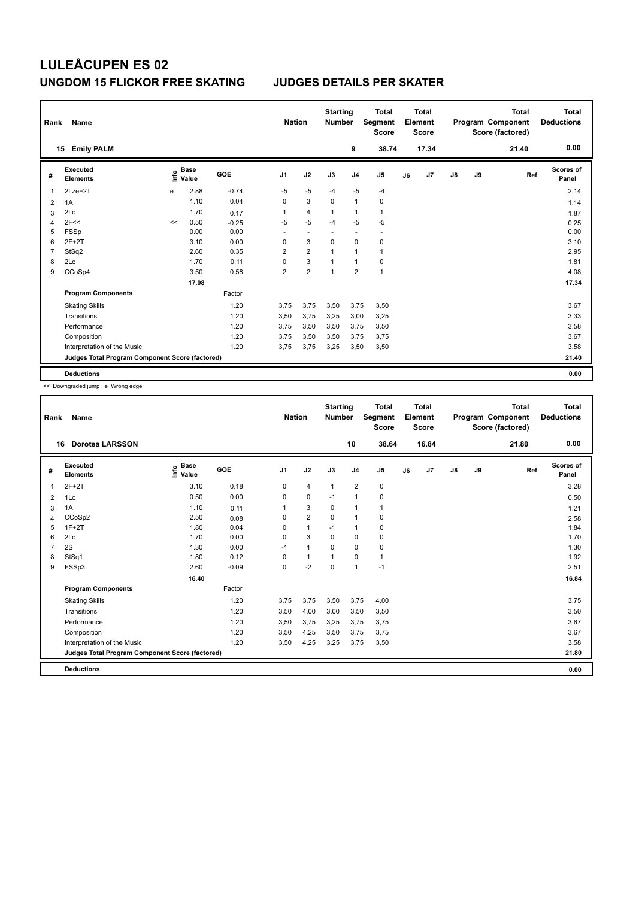| Rank           | Name                                            |      |                      |            | <b>Nation</b>  |                          | <b>Starting</b><br><b>Number</b> |                | <b>Total</b><br>Segment<br><b>Score</b> |    | <b>Total</b><br>Element<br><b>Score</b> |               |    | <b>Total</b><br>Program Component<br>Score (factored) | <b>Total</b><br><b>Deductions</b> |
|----------------|-------------------------------------------------|------|----------------------|------------|----------------|--------------------------|----------------------------------|----------------|-----------------------------------------|----|-----------------------------------------|---------------|----|-------------------------------------------------------|-----------------------------------|
|                | <b>Emily PALM</b><br>15                         |      |                      |            |                |                          |                                  | 9              | 38.74                                   |    | 17.34                                   |               |    | 21.40                                                 | 0.00                              |
| #              | Executed<br><b>Elements</b>                     | Life | <b>Base</b><br>Value | <b>GOE</b> | J <sub>1</sub> | J2                       | J3                               | J <sub>4</sub> | J <sub>5</sub>                          | J6 | J7                                      | $\mathsf{J}8$ | J9 | Ref                                                   | <b>Scores of</b><br>Panel         |
|                | 2Lze+2T                                         | e    | 2.88                 | $-0.74$    | $-5$           | $-5$                     | $-4$                             | $-5$           | $-4$                                    |    |                                         |               |    |                                                       | 2.14                              |
| $\overline{2}$ | 1A                                              |      | 1.10                 | 0.04       | $\Omega$       | 3                        | 0                                | 1              | 0                                       |    |                                         |               |    |                                                       | 1.14                              |
| 3              | 2Lo                                             |      | 1.70                 | 0.17       | 1              | $\overline{\mathbf{4}}$  | $\mathbf{1}$                     | 1              | $\mathbf{1}$                            |    |                                         |               |    |                                                       | 1.87                              |
| $\overline{4}$ | 2F<<                                            | <<   | 0.50                 | $-0.25$    | $-5$           | $-5$                     | $-4$                             | $-5$           | $-5$                                    |    |                                         |               |    |                                                       | 0.25                              |
| 5              | <b>FSSp</b>                                     |      | 0.00                 | 0.00       | $\sim$         | $\overline{\phantom{a}}$ | $\sim$                           | $\sim$         | $\overline{\phantom{a}}$                |    |                                         |               |    |                                                       | 0.00                              |
| 6              | $2F+2T$                                         |      | 3.10                 | 0.00       | 0              | 3                        | 0                                | 0              | $\mathbf 0$                             |    |                                         |               |    |                                                       | 3.10                              |
|                | StSq2                                           |      | 2.60                 | 0.35       | $\overline{2}$ | $\overline{\mathbf{c}}$  | $\mathbf{1}$                     | $\mathbf{1}$   | $\mathbf{1}$                            |    |                                         |               |    |                                                       | 2.95                              |
| 8              | 2Lo                                             |      | 1.70                 | 0.11       | $\Omega$       | 3                        | $\mathbf{1}$                     | 1              | 0                                       |    |                                         |               |    |                                                       | 1.81                              |
| 9              | CCoSp4                                          |      | 3.50                 | 0.58       | $\overline{2}$ | $\overline{2}$           | $\overline{1}$                   | $\overline{2}$ | $\overline{1}$                          |    |                                         |               |    |                                                       | 4.08                              |
|                |                                                 |      | 17.08                |            |                |                          |                                  |                |                                         |    |                                         |               |    |                                                       | 17.34                             |
|                | <b>Program Components</b>                       |      |                      | Factor     |                |                          |                                  |                |                                         |    |                                         |               |    |                                                       |                                   |
|                | <b>Skating Skills</b>                           |      |                      | 1.20       | 3,75           | 3,75                     | 3,50                             | 3,75           | 3,50                                    |    |                                         |               |    |                                                       | 3.67                              |
|                | Transitions                                     |      |                      | 1.20       | 3,50           | 3,75                     | 3,25                             | 3,00           | 3,25                                    |    |                                         |               |    |                                                       | 3.33                              |
|                | Performance                                     |      |                      | 1.20       | 3,75           | 3,50                     | 3,50                             | 3,75           | 3,50                                    |    |                                         |               |    |                                                       | 3.58                              |
|                | Composition                                     |      |                      | 1.20       | 3,75           | 3,50                     | 3,50                             | 3,75           | 3,75                                    |    |                                         |               |    |                                                       | 3.67                              |
|                | Interpretation of the Music                     |      |                      | 1.20       | 3,75           | 3,75                     | 3,25                             | 3,50           | 3,50                                    |    |                                         |               |    |                                                       | 3.58                              |
|                | Judges Total Program Component Score (factored) |      |                      |            |                |                          |                                  |                |                                         |    |                                         |               |    |                                                       | 21.40                             |
|                | <b>Deductions</b>                               |      |                      |            |                |                          |                                  |                |                                         |    |                                         |               |    |                                                       | 0.00                              |

<< Downgraded jump e Wrong edge

| Rank           | Name                                            |                                  |         | <b>Nation</b>  |                | <b>Starting</b><br><b>Number</b> |                | <b>Total</b><br><b>Segment</b><br><b>Score</b> |    | Total<br>Element<br><b>Score</b> |               |    | Total<br>Program Component<br>Score (factored) | <b>Total</b><br><b>Deductions</b> |
|----------------|-------------------------------------------------|----------------------------------|---------|----------------|----------------|----------------------------------|----------------|------------------------------------------------|----|----------------------------------|---------------|----|------------------------------------------------|-----------------------------------|
|                | <b>Dorotea LARSSON</b><br>16                    |                                  |         |                |                |                                  | 10             | 38.64                                          |    | 16.84                            |               |    | 21.80                                          | 0.00                              |
| #              | Executed<br><b>Elements</b>                     | <b>Base</b><br>e Base<br>⊆ Value | GOE     | J <sub>1</sub> | J2             | J3                               | J <sub>4</sub> | J <sub>5</sub>                                 | J6 | J7                               | $\mathsf{J}8$ | J9 | Ref                                            | <b>Scores of</b><br>Panel         |
| $\mathbf{1}$   | $2F+2T$                                         | 3.10                             | 0.18    | 0              | $\overline{4}$ | $\mathbf{1}$                     | $\overline{2}$ | $\pmb{0}$                                      |    |                                  |               |    |                                                | 3.28                              |
| 2              | 1Lo                                             | 0.50                             | 0.00    | 0              | $\mathbf 0$    | $-1$                             | $\mathbf{1}$   | 0                                              |    |                                  |               |    |                                                | 0.50                              |
| 3              | 1A                                              | 1.10                             | 0.11    | 1              | 3              | $\Omega$                         | $\mathbf{1}$   | $\mathbf{1}$                                   |    |                                  |               |    |                                                | 1.21                              |
| 4              | CCoSp2                                          | 2.50                             | 0.08    | 0              | $\overline{2}$ | $\mathbf 0$                      | $\mathbf{1}$   | 0                                              |    |                                  |               |    |                                                | 2.58                              |
| 5              | $1F+2T$                                         | 1.80                             | 0.04    | 0              | $\mathbf{1}$   | $-1$                             | $\mathbf{1}$   | $\pmb{0}$                                      |    |                                  |               |    |                                                | 1.84                              |
| 6              | 2Lo                                             | 1.70                             | 0.00    | $\Omega$       | 3              | $\Omega$                         | $\mathbf 0$    | $\mathbf 0$                                    |    |                                  |               |    |                                                | 1.70                              |
| $\overline{7}$ | 2S                                              | 1.30                             | 0.00    | $-1$           | $\mathbf{1}$   | $\mathbf 0$                      | $\mathbf 0$    | $\mathbf 0$                                    |    |                                  |               |    |                                                | 1.30                              |
| 8              | StSq1                                           | 1.80                             | 0.12    | $\Omega$       | $\mathbf{1}$   | $\mathbf{1}$                     | $\mathbf 0$    | $\mathbf{1}$                                   |    |                                  |               |    |                                                | 1.92                              |
| 9              | FSSp3                                           | 2.60                             | $-0.09$ | 0              | $-2$           | 0                                | $\mathbf{1}$   | $-1$                                           |    |                                  |               |    |                                                | 2.51                              |
|                |                                                 | 16.40                            |         |                |                |                                  |                |                                                |    |                                  |               |    |                                                | 16.84                             |
|                | <b>Program Components</b>                       |                                  | Factor  |                |                |                                  |                |                                                |    |                                  |               |    |                                                |                                   |
|                | <b>Skating Skills</b>                           |                                  | 1.20    | 3,75           | 3,75           | 3,50                             | 3,75           | 4,00                                           |    |                                  |               |    |                                                | 3.75                              |
|                | Transitions                                     |                                  | 1.20    | 3,50           | 4,00           | 3,00                             | 3,50           | 3,50                                           |    |                                  |               |    |                                                | 3.50                              |
|                | Performance                                     |                                  | 1.20    | 3,50           | 3,75           | 3,25                             | 3,75           | 3.75                                           |    |                                  |               |    |                                                | 3.67                              |
|                | Composition                                     |                                  | 1.20    | 3,50           | 4,25           | 3,50                             | 3,75           | 3,75                                           |    |                                  |               |    |                                                | 3.67                              |
|                | Interpretation of the Music                     |                                  | 1.20    | 3,50           | 4,25           | 3,25                             | 3,75           | 3,50                                           |    |                                  |               |    |                                                | 3.58                              |
|                | Judges Total Program Component Score (factored) |                                  |         |                |                |                                  |                |                                                |    |                                  |               |    |                                                | 21.80                             |
|                | <b>Deductions</b>                               |                                  |         |                |                |                                  |                |                                                |    |                                  |               |    |                                                | 0.00                              |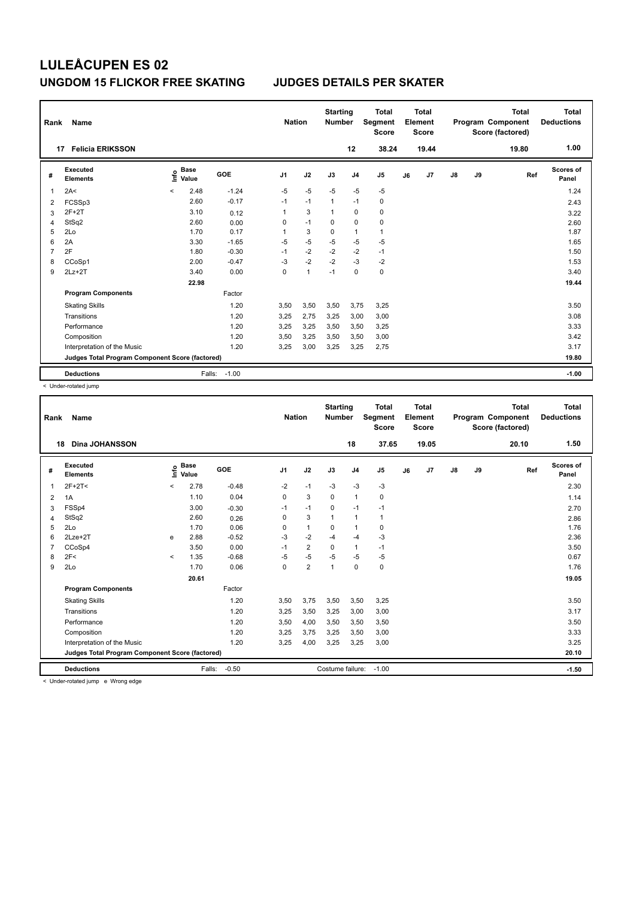| Rank | Name                                            |                                  |         | <b>Nation</b>  |                | <b>Starting</b><br><b>Number</b> |                | <b>Total</b><br>Segment<br><b>Score</b> |    | <b>Total</b><br>Element<br><b>Score</b> |               |    | <b>Total</b><br>Program Component<br>Score (factored) | <b>Total</b><br><b>Deductions</b> |
|------|-------------------------------------------------|----------------------------------|---------|----------------|----------------|----------------------------------|----------------|-----------------------------------------|----|-----------------------------------------|---------------|----|-------------------------------------------------------|-----------------------------------|
|      | <b>Felicia ERIKSSON</b><br>17                   |                                  |         |                |                |                                  | 12             | 38.24                                   |    | 19.44                                   |               |    | 19.80                                                 | 1.00                              |
| #    | Executed<br><b>Elements</b>                     | <b>Base</b><br>۴۵<br>Value       | GOE     | J <sub>1</sub> | J2             | J3                               | J <sub>4</sub> | J <sub>5</sub>                          | J6 | J7                                      | $\mathsf{J}8$ | J9 | Ref                                                   | <b>Scores of</b><br>Panel         |
| 1    | 2A<                                             | 2.48<br>$\overline{\phantom{a}}$ | $-1.24$ | $-5$           | $-5$           | $-5$                             | $-5$           | $-5$                                    |    |                                         |               |    |                                                       | 1.24                              |
| 2    | FCSSp3                                          | 2.60                             | $-0.17$ | $-1$           | $-1$           | $\overline{1}$                   | $-1$           | $\pmb{0}$                               |    |                                         |               |    |                                                       | 2.43                              |
| 3    | $2F+2T$                                         | 3.10                             | 0.12    | 1              | 3              | $\overline{1}$                   | 0              | $\pmb{0}$                               |    |                                         |               |    |                                                       | 3.22                              |
| 4    | StSq2                                           | 2.60                             | 0.00    | 0              | $-1$           | 0                                | $\mathbf 0$    | 0                                       |    |                                         |               |    |                                                       | 2.60                              |
| 5    | 2Lo                                             | 1.70                             | 0.17    | 1              | 3              | $\mathbf 0$                      | $\overline{1}$ | $\mathbf{1}$                            |    |                                         |               |    |                                                       | 1.87                              |
| 6    | 2A                                              | 3.30                             | $-1.65$ | $-5$           | $-5$           | $-5$                             | $-5$           | $-5$                                    |    |                                         |               |    |                                                       | 1.65                              |
| 7    | 2F                                              | 1.80                             | $-0.30$ | $-1$           | $-2$           | $-2$                             | $-2$           | $-1$                                    |    |                                         |               |    |                                                       | 1.50                              |
| 8    | CCoSp1                                          | 2.00                             | $-0.47$ | $-3$           | $-2$           | $-2$                             | $-3$           | $-2$                                    |    |                                         |               |    |                                                       | 1.53                              |
| 9    | $2Lz + 2T$                                      | 3.40                             | 0.00    | 0              | $\overline{1}$ | $-1$                             | $\mathbf 0$    | $\pmb{0}$                               |    |                                         |               |    |                                                       | 3.40                              |
|      |                                                 | 22.98                            |         |                |                |                                  |                |                                         |    |                                         |               |    |                                                       | 19.44                             |
|      | <b>Program Components</b>                       |                                  | Factor  |                |                |                                  |                |                                         |    |                                         |               |    |                                                       |                                   |
|      | <b>Skating Skills</b>                           |                                  | 1.20    | 3,50           | 3,50           | 3,50                             | 3,75           | 3,25                                    |    |                                         |               |    |                                                       | 3.50                              |
|      | Transitions                                     |                                  | 1.20    | 3,25           | 2,75           | 3,25                             | 3,00           | 3,00                                    |    |                                         |               |    |                                                       | 3.08                              |
|      | Performance                                     |                                  | 1.20    | 3,25           | 3,25           | 3,50                             | 3,50           | 3,25                                    |    |                                         |               |    |                                                       | 3.33                              |
|      | Composition                                     |                                  | 1.20    | 3,50           | 3,25           | 3,50                             | 3,50           | 3,00                                    |    |                                         |               |    |                                                       | 3.42                              |
|      | Interpretation of the Music                     |                                  | 1.20    | 3,25           | 3,00           | 3,25                             | 3,25           | 2,75                                    |    |                                         |               |    |                                                       | 3.17                              |
|      | Judges Total Program Component Score (factored) |                                  |         |                |                |                                  |                |                                         |    |                                         |               |    |                                                       | 19.80                             |
|      | <b>Deductions</b>                               | Falls:                           | $-1.00$ |                |                |                                  |                |                                         |    |                                         |               |    |                                                       | $-1.00$                           |

< Under-rotated jump

| Rank           | <b>Name</b>                                     |         |                      |         | <b>Nation</b>  |                | <b>Starting</b><br><b>Number</b> |                | <b>Total</b><br><b>Segment</b><br><b>Score</b> |    | <b>Total</b><br>Element<br><b>Score</b> |               |    | <b>Total</b><br>Program Component<br>Score (factored) | <b>Total</b><br><b>Deductions</b> |
|----------------|-------------------------------------------------|---------|----------------------|---------|----------------|----------------|----------------------------------|----------------|------------------------------------------------|----|-----------------------------------------|---------------|----|-------------------------------------------------------|-----------------------------------|
| 18             | <b>Dina JOHANSSON</b>                           |         |                      |         |                |                |                                  | 18             | 37.65                                          |    | 19.05                                   |               |    | 20.10                                                 | 1.50                              |
| #              | Executed<br><b>Elements</b>                     | lnfo    | <b>Base</b><br>Value | GOE     | J <sub>1</sub> | J2             | J3                               | J <sub>4</sub> | J <sub>5</sub>                                 | J6 | J7                                      | $\mathsf{J}8$ | J9 | Ref                                                   | <b>Scores of</b><br>Panel         |
| $\mathbf{1}$   | $2F+2T<$                                        | $\,<$   | 2.78                 | $-0.48$ | $-2$           | $-1$           | $-3$                             | $-3$           | $-3$                                           |    |                                         |               |    |                                                       | 2.30                              |
| 2              | 1A                                              |         | 1.10                 | 0.04    | $\Omega$       | 3              | $\Omega$                         | $\mathbf{1}$   | 0                                              |    |                                         |               |    |                                                       | 1.14                              |
| 3              | FSSp4                                           |         | 3.00                 | $-0.30$ | $-1$           | $-1$           | 0                                | $-1$           | $-1$                                           |    |                                         |               |    |                                                       | 2.70                              |
| $\overline{4}$ | StSq2                                           |         | 2.60                 | 0.26    | $\mathbf 0$    | 3              | $\mathbf{1}$                     | $\mathbf{1}$   | $\mathbf{1}$                                   |    |                                         |               |    |                                                       | 2.86                              |
| 5              | 2Lo                                             |         | 1.70                 | 0.06    | 0              | $\mathbf{1}$   | 0                                | $\mathbf{1}$   | 0                                              |    |                                         |               |    |                                                       | 1.76                              |
| 6              | 2Lze+2T                                         | e       | 2.88                 | $-0.52$ | -3             | $-2$           | $-4$                             | $-4$           | $-3$                                           |    |                                         |               |    |                                                       | 2.36                              |
| 7              | CCoSp4                                          |         | 3.50                 | 0.00    | $-1$           | $\overline{2}$ | $\mathbf 0$                      | $\mathbf{1}$   | $-1$                                           |    |                                         |               |    |                                                       | 3.50                              |
| 8              | 2F<                                             | $\prec$ | 1.35                 | $-0.68$ | $-5$           | $-5$           | -5                               | $-5$           | $-5$                                           |    |                                         |               |    |                                                       | 0.67                              |
| 9              | 2Lo                                             |         | 1.70                 | 0.06    | 0              | $\overline{2}$ | 1                                | 0              | $\mathbf 0$                                    |    |                                         |               |    |                                                       | 1.76                              |
|                |                                                 |         | 20.61                |         |                |                |                                  |                |                                                |    |                                         |               |    |                                                       | 19.05                             |
|                | <b>Program Components</b>                       |         |                      | Factor  |                |                |                                  |                |                                                |    |                                         |               |    |                                                       |                                   |
|                | <b>Skating Skills</b>                           |         |                      | 1.20    | 3,50           | 3,75           | 3,50                             | 3,50           | 3,25                                           |    |                                         |               |    |                                                       | 3.50                              |
|                | Transitions                                     |         |                      | 1.20    | 3,25           | 3,50           | 3,25                             | 3,00           | 3,00                                           |    |                                         |               |    |                                                       | 3.17                              |
|                | Performance                                     |         |                      | 1.20    | 3,50           | 4,00           | 3,50                             | 3,50           | 3,50                                           |    |                                         |               |    |                                                       | 3.50                              |
|                | Composition                                     |         |                      | 1.20    | 3,25           | 3,75           | 3,25                             | 3,50           | 3,00                                           |    |                                         |               |    |                                                       | 3.33                              |
|                | Interpretation of the Music                     |         |                      | 1.20    | 3,25           | 4,00           | 3,25                             | 3,25           | 3,00                                           |    |                                         |               |    |                                                       | 3.25                              |
|                | Judges Total Program Component Score (factored) |         |                      |         |                |                |                                  |                |                                                |    |                                         |               |    |                                                       | 20.10                             |
|                | <b>Deductions</b>                               |         | Falls:               | $-0.50$ |                |                | Costume failure:                 |                | $-1.00$                                        |    |                                         |               |    |                                                       | $-1.50$                           |
|                | c Under-rotated jumn a Wrong edge               |         |                      |         |                |                |                                  |                |                                                |    |                                         |               |    |                                                       |                                   |

< Under-rotated jump e Wrong edge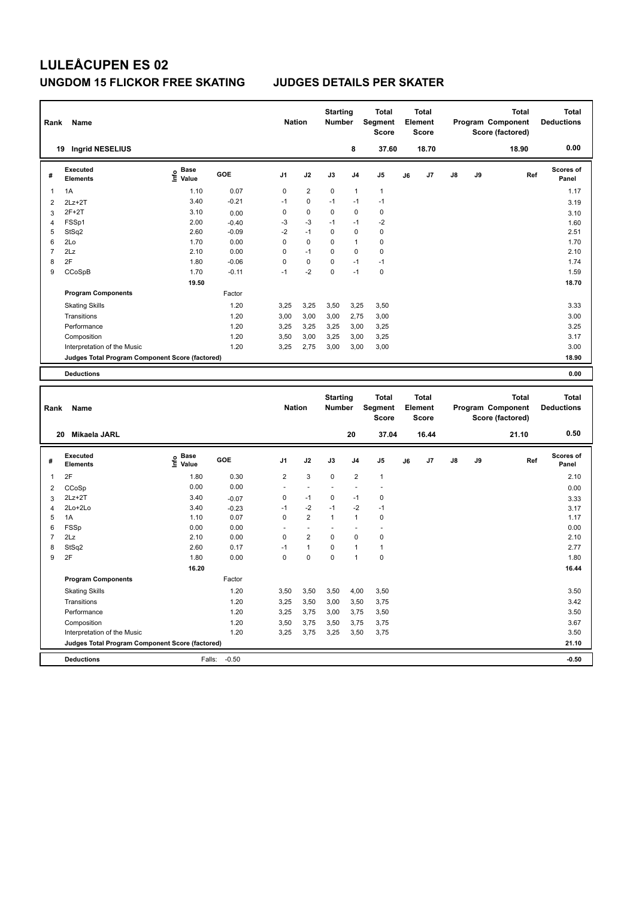| Rank               | Name                                            |                              |         | <b>Nation</b>   |                 | <b>Starting</b><br><b>Number</b> |                | <b>Total</b><br>Segment<br><b>Score</b>        | <b>Total</b><br>Element<br><b>Score</b> |    |    | <b>Total</b><br>Program Component<br>Score (factored) | <b>Total</b><br><b>Deductions</b> |
|--------------------|-------------------------------------------------|------------------------------|---------|-----------------|-----------------|----------------------------------|----------------|------------------------------------------------|-----------------------------------------|----|----|-------------------------------------------------------|-----------------------------------|
|                    | 19 Ingrid NESELIUS                              |                              |         |                 |                 |                                  | 8              | 37.60                                          | 18.70                                   |    |    | 18.90                                                 | 0.00                              |
| #                  | <b>Executed</b><br><b>Elements</b>              | <b>Base</b><br>lnfo<br>Value | GOE     | J <sub>1</sub>  | J2              | J3                               | J <sub>4</sub> | J <sub>5</sub>                                 | J7<br>J6                                | J8 | J9 | Ref                                                   | Scores of<br>Panel                |
| 1                  | 1A                                              | 1.10                         | 0.07    | $\mathbf 0$     | $\overline{2}$  | 0                                | $\mathbf{1}$   | $\mathbf{1}$                                   |                                         |    |    |                                                       | 1.17                              |
| $\overline{2}$     | $2Lz + 2T$                                      | 3.40                         | $-0.21$ | $-1$            | 0               | $-1$                             | $-1$           | $-1$                                           |                                         |    |    |                                                       | 3.19                              |
| 3                  | $2F+2T$                                         | 3.10                         | 0.00    | 0               | 0               | 0                                | $\mathbf 0$    | $\mathbf 0$                                    |                                         |    |    |                                                       | 3.10                              |
| 4                  | FSSp1                                           | 2.00                         | $-0.40$ | $-3$            | $-3$            | $-1$                             | $-1$           | $-2$                                           |                                         |    |    |                                                       | 1.60                              |
| 5                  | StSq2                                           | 2.60                         | $-0.09$ | $-2$            | $-1$            | $\Omega$                         | $\Omega$       | $\mathbf 0$                                    |                                         |    |    |                                                       | 2.51                              |
| 6                  | 2Lo                                             | 1.70                         | 0.00    | 0               | 0               | 0                                | 1              | 0                                              |                                         |    |    |                                                       | 1.70                              |
| $\overline{7}$     | 2Lz                                             | 2.10                         | 0.00    | 0               | $-1$            | 0                                | $\Omega$       | 0                                              |                                         |    |    |                                                       | 2.10                              |
| 8                  | 2F                                              | 1.80                         | $-0.06$ | $\Omega$        | 0               | $\Omega$                         | $-1$           | $-1$                                           |                                         |    |    |                                                       | 1.74                              |
| 9                  | CCoSpB                                          | 1.70                         | $-0.11$ | $-1$            | $-2$            | $\Omega$                         | $-1$           | $\pmb{0}$                                      |                                         |    |    |                                                       | 1.59                              |
|                    |                                                 | 19.50                        |         |                 |                 |                                  |                |                                                |                                         |    |    |                                                       | 18.70                             |
|                    | <b>Program Components</b>                       |                              | Factor  |                 |                 |                                  |                |                                                |                                         |    |    |                                                       |                                   |
|                    | <b>Skating Skills</b>                           |                              | 1.20    | 3,25            | 3,25            | 3,50                             | 3,25           | 3,50                                           |                                         |    |    |                                                       | 3.33                              |
|                    | Transitions                                     |                              | 1.20    | 3,00            | 3,00            | 3,00                             | 2,75           | 3,00                                           |                                         |    |    |                                                       | 3.00                              |
|                    | Performance                                     |                              | 1.20    | 3,25            | 3,25            | 3,25                             | 3,00           | 3,25                                           |                                         |    |    |                                                       | 3.25                              |
|                    | Composition                                     |                              | 1.20    | 3,50            | 3,00            | 3,25                             | 3,00           | 3,25                                           |                                         |    |    |                                                       | 3.17                              |
|                    | Interpretation of the Music                     |                              | 1.20    | 3,25            | 2,75            | 3,00                             | 3,00           | 3,00                                           |                                         |    |    |                                                       | 3.00                              |
|                    | Judges Total Program Component Score (factored) |                              |         |                 |                 |                                  |                |                                                |                                         |    |    |                                                       | 18.90                             |
|                    | <b>Deductions</b>                               |                              |         |                 |                 |                                  |                |                                                |                                         |    |    |                                                       | 0.00                              |
|                    |                                                 |                              |         |                 |                 |                                  |                |                                                |                                         |    |    |                                                       |                                   |
| Rank               | Name                                            |                              |         | <b>Nation</b>   |                 | <b>Starting</b><br><b>Number</b> |                | <b>Total</b><br><b>Segment</b><br><b>Score</b> | Total<br>Element<br><b>Score</b>        |    |    | <b>Total</b><br>Program Component<br>Score (factored) | <b>Total</b><br><b>Deductions</b> |
|                    | Mikaela JARL<br>20                              |                              |         |                 |                 |                                  | 20             | 37.04                                          | 16.44                                   |    |    | 21.10                                                 | 0.50                              |
| $\boldsymbol{\mu}$ | <b>Executed</b>                                 | $_{\odot}$ Base              | GOF     | $\overline{11}$ | 12 <sup>2</sup> | $\overline{13}$                  | $\mathbf{A}$   | 15.                                            | 17<br>$\overline{a}$                    | 18 | ١Q | <b>Pof</b>                                            | Scores of                         |

| #              | LAGCULGU<br><b>Elements</b>                     | 들<br>wase<br>Value | GOE     | J <sub>1</sub> | J2             | J3          | J <sub>4</sub> | J <sub>5</sub> | J6 | J7 | J8 | J9 | Ref | uuuro ur<br>Panel |
|----------------|-------------------------------------------------|--------------------|---------|----------------|----------------|-------------|----------------|----------------|----|----|----|----|-----|-------------------|
|                | 2F                                              | 1.80               | 0.30    | $\overline{2}$ | 3              | $\mathbf 0$ | $\overline{2}$ | $\overline{1}$ |    |    |    |    |     | 2.10              |
| 2              | CCoSp                                           | 0.00               | 0.00    |                |                |             |                |                |    |    |    |    |     | 0.00              |
| 3              | $2Lz + 2T$                                      | 3.40               | $-0.07$ | 0              | $-1$           | 0           | $-1$           | 0              |    |    |    |    |     | 3.33              |
| $\overline{4}$ | 2Lo+2Lo                                         | 3.40               | $-0.23$ | $-1$           | $-2$           | $-1$        | $-2$           | $-1$           |    |    |    |    |     | 3.17              |
| 5              | 1A                                              | 1.10               | 0.07    | 0              | $\overline{2}$ | 1           | 1              | 0              |    |    |    |    |     | 1.17              |
| 6              | FSSp                                            | 0.00               | 0.00    |                |                |             |                |                |    |    |    |    |     | 0.00              |
|                | 2Lz                                             | 2.10               | 0.00    | 0              | 2              | 0           | 0              | 0              |    |    |    |    |     | 2.10              |
| 8              | StSq2                                           | 2.60               | 0.17    | $-1$           | 1              | 0           | 1              |                |    |    |    |    |     | 2.77              |
| 9              | 2F                                              | 1.80               | 0.00    | 0              | 0              | 0           | 1              | 0              |    |    |    |    |     | 1.80              |
|                |                                                 | 16.20              |         |                |                |             |                |                |    |    |    |    |     | 16.44             |
|                | <b>Program Components</b>                       |                    | Factor  |                |                |             |                |                |    |    |    |    |     |                   |
|                | <b>Skating Skills</b>                           |                    | 1.20    | 3,50           | 3,50           | 3,50        | 4,00           | 3,50           |    |    |    |    |     | 3.50              |
|                | Transitions                                     |                    | 1.20    | 3,25           | 3,50           | 3,00        | 3,50           | 3,75           |    |    |    |    |     | 3.42              |
|                | Performance                                     |                    | 1.20    | 3,25           | 3,75           | 3,00        | 3,75           | 3,50           |    |    |    |    |     | 3.50              |
|                | Composition                                     |                    | 1.20    | 3,50           | 3,75           | 3,50        | 3,75           | 3,75           |    |    |    |    |     | 3.67              |
|                | Interpretation of the Music                     |                    | 1.20    | 3,25           | 3,75           | 3,25        | 3,50           | 3,75           |    |    |    |    |     | 3.50              |
|                | Judges Total Program Component Score (factored) |                    |         |                |                |             |                |                |    |    |    |    |     | 21.10             |
|                | <b>Deductions</b>                               | Falls:             | $-0.50$ |                |                |             |                |                |    |    |    |    |     | $-0.50$           |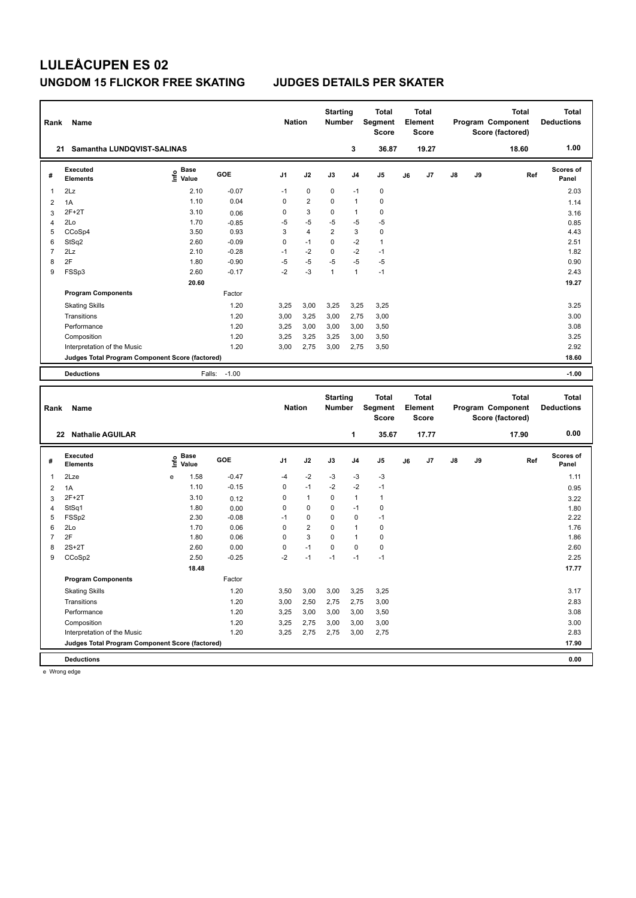| Rank                    | Name                                            |                              |         | <b>Nation</b>  |                | <b>Starting</b><br><b>Number</b> |                | <b>Total</b><br>Segment<br><b>Score</b> |    | <b>Total</b><br>Element<br><b>Score</b> |    |    | <b>Total</b><br>Program Component<br>Score (factored) | <b>Total</b><br><b>Deductions</b> |
|-------------------------|-------------------------------------------------|------------------------------|---------|----------------|----------------|----------------------------------|----------------|-----------------------------------------|----|-----------------------------------------|----|----|-------------------------------------------------------|-----------------------------------|
|                         | 21 Samantha LUNDQVIST-SALINAS                   |                              |         |                |                |                                  | 3              | 36.87                                   |    | 19.27                                   |    |    | 18.60                                                 | 1.00                              |
| #                       | <b>Executed</b><br><b>Elements</b>              | <b>Base</b><br>١nf٥<br>Value | GOE     | J <sub>1</sub> | J2             | J3                               | J <sub>4</sub> | J <sub>5</sub>                          | J6 | J7                                      | J8 | J9 | Ref                                                   | Scores of<br>Panel                |
| 1                       | 2Lz                                             | 2.10                         | $-0.07$ | $-1$           | $\mathbf 0$    | $\mathbf 0$                      | $-1$           | $\mathbf 0$                             |    |                                         |    |    |                                                       | 2.03                              |
| $\overline{\mathbf{c}}$ | 1A                                              | 1.10                         | 0.04    | 0              | $\overline{2}$ | 0                                | $\mathbf{1}$   | $\mathbf 0$                             |    |                                         |    |    |                                                       | 1.14                              |
| 3                       | $2F+2T$                                         | 3.10                         | 0.06    | 0              | 3              | 0                                | $\mathbf{1}$   | $\mathbf 0$                             |    |                                         |    |    |                                                       | 3.16                              |
| $\overline{4}$          | 2Lo                                             | 1.70                         | $-0.85$ | $-5$           | $-5$           | $-5$                             | $-5$           | $-5$                                    |    |                                         |    |    |                                                       | 0.85                              |
| 5                       | CCoSp4                                          | 3.50                         | 0.93    | 3              | 4              | $\overline{2}$                   | 3              | $\mathbf 0$                             |    |                                         |    |    |                                                       | 4.43                              |
| 6                       | StSq2                                           | 2.60                         | $-0.09$ | 0              | $-1$           | 0                                | $-2$           | $\mathbf{1}$                            |    |                                         |    |    |                                                       | 2.51                              |
| $\overline{7}$          | 2Lz                                             | 2.10                         | $-0.28$ | $-1$           | $-2$           | 0                                | $-2$           | $-1$                                    |    |                                         |    |    |                                                       | 1.82                              |
| 8                       | 2F                                              | 1.80                         | $-0.90$ | $-5$           | $-5$           | $-5$                             | $-5$           | $-5$                                    |    |                                         |    |    |                                                       | 0.90                              |
| 9                       | FSSp3                                           | 2.60                         | $-0.17$ | $-2$           | $-3$           | $\mathbf{1}$                     | $\mathbf{1}$   | $-1$                                    |    |                                         |    |    |                                                       | 2.43                              |
|                         |                                                 | 20.60                        |         |                |                |                                  |                |                                         |    |                                         |    |    |                                                       | 19.27                             |
|                         | <b>Program Components</b>                       |                              | Factor  |                |                |                                  |                |                                         |    |                                         |    |    |                                                       |                                   |
|                         | <b>Skating Skills</b>                           |                              | 1.20    | 3.25           | 3,00           | 3,25                             | 3,25           | 3,25                                    |    |                                         |    |    |                                                       | 3.25                              |
|                         | Transitions                                     |                              | 1.20    | 3,00           | 3,25           | 3,00                             | 2,75           | 3,00                                    |    |                                         |    |    |                                                       | 3.00                              |
|                         | Performance                                     |                              | 1.20    | 3,25           | 3,00           | 3,00                             | 3,00           | 3,50                                    |    |                                         |    |    |                                                       | 3.08                              |
|                         | Composition                                     |                              | 1.20    | 3,25           | 3,25           | 3,25                             | 3,00           | 3,50                                    |    |                                         |    |    |                                                       | 3.25                              |
|                         | Interpretation of the Music                     |                              | 1.20    | 3,00           | 2,75           | 3,00                             | 2,75           | 3,50                                    |    |                                         |    |    |                                                       | 2.92                              |
|                         | Judges Total Program Component Score (factored) |                              |         |                |                |                                  |                |                                         |    |                                         |    |    |                                                       | 18.60                             |
|                         | <b>Deductions</b>                               | Falls:                       | $-1.00$ |                |                |                                  |                |                                         |    |                                         |    |    |                                                       | $-1.00$                           |
| Rank                    | Name                                            |                              |         | <b>Nation</b>  |                | <b>Starting</b><br>Number        |                | <b>Total</b><br>Segment<br><b>Score</b> |    | <b>Total</b><br>Element<br><b>Score</b> |    |    | <b>Total</b><br>Program Component<br>Score (factored) | <b>Total</b><br><b>Deductions</b> |
|                         | 22 Nathalie AGUILAR                             |                              |         |                |                |                                  | 1              | 35.67                                   |    | 17.77                                   |    |    | 17.90                                                 | 0.00                              |
| #                       | <b>Executed</b><br><b>Elements</b>              | <b>Base</b><br>lnfo<br>Value | GOE     | J <sub>1</sub> | J2             | J3                               | J <sub>4</sub> | J5                                      | J6 | J7                                      | J8 | J9 | Ref                                                   | <b>Scores of</b><br>Panel         |
| 1                       | 2Lze                                            | 1.58<br>e                    | $-0.47$ | $-4$           | $-2$           | $-3$                             | -3             | -3                                      |    |                                         |    |    |                                                       | 1.11                              |
| $\overline{2}$          | 1A                                              | 1.10                         | $-0.15$ | 0              | $-1$           | $-2$                             | $-2$           | $-1$                                    |    |                                         |    |    |                                                       | 0.95                              |
| 3                       | $2F+2T$                                         | 3.10                         | 0.12    | 0              | $\mathbf{1}$   | 0                                | $\mathbf{1}$   | $\mathbf{1}$                            |    |                                         |    |    |                                                       | 3.22                              |
| $\overline{4}$          | StSq1                                           | 1.80                         | 0.00    | 0              | 0              | 0                                | $-1$           | $\mathbf 0$                             |    |                                         |    |    |                                                       | 1.80                              |
| 5                       | FSSp2                                           | 2.30                         | $-0.08$ | $-1$           | 0              | 0                                | $\Omega$       | $-1$                                    |    |                                         |    |    |                                                       | 2.22                              |
| 6                       | 2Lo                                             | 1.70                         | 0.06    | 0              | $\overline{2}$ | 0                                | $\overline{1}$ | $\mathbf 0$                             |    |                                         |    |    |                                                       | 1.76                              |
| $\overline{7}$          | 2F                                              | 1.80                         | 0.06    | 0              | 3              | 0                                | $\mathbf{1}$   | $\mathbf 0$                             |    |                                         |    |    |                                                       | 1.86                              |

| <b>Deductions</b>           |   |       |         |                                                 |      |          |                |             | 0.00  |       |
|-----------------------------|---|-------|---------|-------------------------------------------------|------|----------|----------------|-------------|-------|-------|
|                             |   |       |         |                                                 |      |          |                |             |       |       |
| Interpretation of the Music |   |       | 1.20    | 3,25                                            | 2,75 | 2,75     | 3,00           | 2,75        | 2.83  |       |
| Composition                 |   |       | 1.20    | 3,25                                            | 2,75 | 3,00     | 3,00           | 3,00        | 3.00  |       |
| Performance                 |   |       | 1.20    | 3,25                                            | 3,00 | 3,00     | 3,00           | 3,50        | 3.08  |       |
| Transitions                 |   |       | 1.20    | 3,00                                            | 2,50 | 2,75     | 2,75           | 3,00        | 2.83  |       |
| <b>Skating Skills</b>       |   |       | 1.20    | 3,50                                            | 3,00 | 3,00     | 3,25           | 3,25        | 3.17  |       |
| <b>Program Components</b>   |   |       | Factor  |                                                 |      |          |                |             |       |       |
|                             |   | 18.48 |         |                                                 |      |          |                |             | 17.77 |       |
| CCoSp2                      |   | 2.50  | $-0.25$ | $-2$                                            | $-1$ | $-1$     | $-1$           | $-1$        | 2.25  |       |
| $2S+2T$                     |   | 2.60  | 0.00    | 0                                               | $-1$ | 0        | 0              | 0           | 2.60  |       |
| 2F                          |   | 1.80  | 0.06    | 0                                               | 3    | 0        | 1              | 0           | 1.86  |       |
| 2Lo                         |   | 1.70  | 0.06    | 0                                               | 2    | $\Omega$ | $\overline{1}$ | 0           | 1.76  |       |
| FSSp2                       |   | 2.30  | $-0.08$ | $-1$                                            | 0    | 0        | $\mathbf 0$    | $-1$        | 2.22  |       |
| StSq1                       |   | 1.80  | 0.00    | 0                                               | 0    | 0        | $-1$           | $\mathbf 0$ | 1.80  |       |
| 2F+2T                       |   | 3.10  | 0.12    | 0                                               | 1    | 0        | $\overline{ }$ |             | 3.22  |       |
| 1A                          |   | 1.10  | $-0.15$ | 0                                               | $-1$ | $-2$     | $-2$           | $-1$        | 0.95  |       |
| 2Lze                        | e | 1.58  | $-0.47$ | $-4$                                            | $-2$ | -3       | $-3$           | $-3$        | 1.11  |       |
|                             |   |       |         | Judges Total Program Component Score (factored) |      |          |                |             |       | 17.90 |

e Wrong edge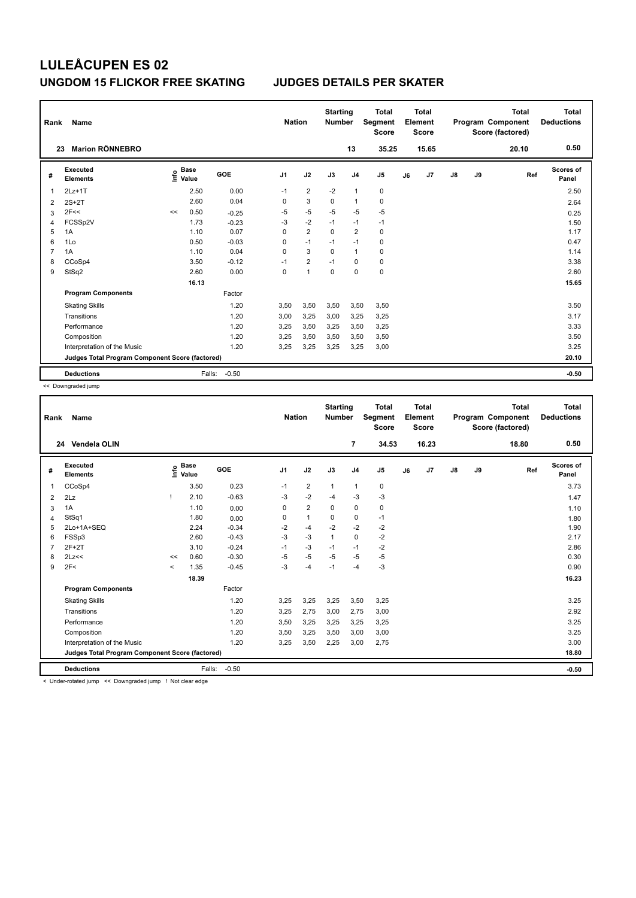| Rank | Name                                            |    |                                  |         |                | <b>Nation</b>  | <b>Starting</b><br><b>Number</b> |                | <b>Total</b><br>Segment<br><b>Score</b> |    | <b>Total</b><br>Element<br><b>Score</b> |               |    | <b>Total</b><br>Program Component<br>Score (factored) | Total<br><b>Deductions</b> |
|------|-------------------------------------------------|----|----------------------------------|---------|----------------|----------------|----------------------------------|----------------|-----------------------------------------|----|-----------------------------------------|---------------|----|-------------------------------------------------------|----------------------------|
|      | <b>Marion RÖNNEBRO</b><br>23                    |    |                                  |         |                |                |                                  | 13             | 35.25                                   |    | 15.65                                   |               |    | 20.10                                                 | 0.50                       |
| #    | Executed<br><b>Elements</b>                     |    | <b>Base</b><br>e Base<br>⊆ Value | GOE     | J <sub>1</sub> | J2             | J3                               | J <sub>4</sub> | J5                                      | J6 | J7                                      | $\mathsf{J}8$ | J9 | Ref                                                   | Scores of<br>Panel         |
| 1    | $2Lz+1T$                                        |    | 2.50                             | 0.00    | $-1$           | $\overline{2}$ | $-2$                             | $\overline{1}$ | $\pmb{0}$                               |    |                                         |               |    |                                                       | 2.50                       |
| 2    | $2S+2T$                                         |    | 2.60                             | 0.04    | 0              | 3              | $\mathbf 0$                      | $\overline{1}$ | $\pmb{0}$                               |    |                                         |               |    |                                                       | 2.64                       |
| 3    | 2F<<                                            | << | 0.50                             | $-0.25$ | $-5$           | $-5$           | $-5$                             | $-5$           | $-5$                                    |    |                                         |               |    |                                                       | 0.25                       |
| 4    | FCSSp2V                                         |    | 1.73                             | $-0.23$ | $-3$           | $-2$           | $-1$                             | $-1$           | $-1$                                    |    |                                         |               |    |                                                       | 1.50                       |
| 5    | 1A                                              |    | 1.10                             | 0.07    | 0              | $\overline{2}$ | $\Omega$                         | $\overline{2}$ | $\pmb{0}$                               |    |                                         |               |    |                                                       | 1.17                       |
| 6    | 1Lo                                             |    | 0.50                             | $-0.03$ | 0              | $-1$           | $-1$                             | $-1$           | $\pmb{0}$                               |    |                                         |               |    |                                                       | 0.47                       |
| 7    | 1A                                              |    | 1.10                             | 0.04    | 0              | 3              | $\Omega$                         | $\mathbf{1}$   | $\pmb{0}$                               |    |                                         |               |    |                                                       | 1.14                       |
| 8    | CCoSp4                                          |    | 3.50                             | $-0.12$ | $-1$           | $\overline{2}$ | $-1$                             | $\Omega$       | 0                                       |    |                                         |               |    |                                                       | 3.38                       |
| 9    | StSq2                                           |    | 2.60                             | 0.00    | 0              | $\overline{1}$ | $\mathbf 0$                      | $\mathbf 0$    | $\mathbf 0$                             |    |                                         |               |    |                                                       | 2.60                       |
|      |                                                 |    | 16.13                            |         |                |                |                                  |                |                                         |    |                                         |               |    |                                                       | 15.65                      |
|      | <b>Program Components</b>                       |    |                                  | Factor  |                |                |                                  |                |                                         |    |                                         |               |    |                                                       |                            |
|      | <b>Skating Skills</b>                           |    |                                  | 1.20    | 3,50           | 3,50           | 3,50                             | 3,50           | 3,50                                    |    |                                         |               |    |                                                       | 3.50                       |
|      | Transitions                                     |    |                                  | 1.20    | 3,00           | 3,25           | 3,00                             | 3,25           | 3,25                                    |    |                                         |               |    |                                                       | 3.17                       |
|      | Performance                                     |    |                                  | 1.20    | 3,25           | 3,50           | 3,25                             | 3,50           | 3,25                                    |    |                                         |               |    |                                                       | 3.33                       |
|      | Composition                                     |    |                                  | 1.20    | 3.25           | 3,50           | 3,50                             | 3.50           | 3,50                                    |    |                                         |               |    |                                                       | 3.50                       |
|      | Interpretation of the Music                     |    |                                  | 1.20    | 3.25           | 3,25           | 3,25                             | 3,25           | 3,00                                    |    |                                         |               |    |                                                       | 3.25                       |
|      | Judges Total Program Component Score (factored) |    |                                  |         |                |                |                                  |                |                                         |    |                                         |               |    |                                                       | 20.10                      |
|      | <b>Deductions</b>                               |    | Falls:                           | $-0.50$ |                |                |                                  |                |                                         |    |                                         |               |    |                                                       | $-0.50$                    |

<< Downgraded jump

| Rank           | Name                                            |         |                                  |         | <b>Nation</b>  |                | <b>Starting</b><br><b>Number</b> |                | <b>Total</b><br><b>Segment</b><br><b>Score</b> |    | Total<br>Element<br><b>Score</b> |               |    | Total<br>Program Component<br>Score (factored) | Total<br><b>Deductions</b> |
|----------------|-------------------------------------------------|---------|----------------------------------|---------|----------------|----------------|----------------------------------|----------------|------------------------------------------------|----|----------------------------------|---------------|----|------------------------------------------------|----------------------------|
|                | 24 Vendela OLIN                                 |         |                                  |         |                |                |                                  | 7              | 34.53                                          |    | 16.23                            |               |    | 18.80                                          | 0.50                       |
| #              | Executed<br><b>Elements</b>                     |         | <b>Base</b><br>e Base<br>⊆ Value | GOE     | J <sub>1</sub> | J2             | J3                               | J <sub>4</sub> | J <sub>5</sub>                                 | J6 | J7                               | $\mathsf{J}8$ | J9 | Ref                                            | <b>Scores of</b><br>Panel  |
| $\mathbf{1}$   | CCoSp4                                          |         | 3.50                             | 0.23    | $-1$           | $\overline{2}$ | $\mathbf{1}$                     | $\mathbf{1}$   | 0                                              |    |                                  |               |    |                                                | 3.73                       |
| $\overline{2}$ | 2Lz                                             |         | 2.10                             | $-0.63$ | -3             | $-2$           | $-4$                             | $-3$           | $-3$                                           |    |                                  |               |    |                                                | 1.47                       |
| 3              | 1A                                              |         | 1.10                             | 0.00    | $\Omega$       | $\overline{2}$ | $\Omega$                         | $\mathbf 0$    | 0                                              |    |                                  |               |    |                                                | 1.10                       |
| 4              | StSq1                                           |         | 1.80                             | 0.00    | 0              | $\mathbf{1}$   | 0                                | $\mathbf 0$    | $-1$                                           |    |                                  |               |    |                                                | 1.80                       |
| 5              | 2Lo+1A+SEQ                                      |         | 2.24                             | $-0.34$ | $-2$           | $-4$           | $-2$                             | $-2$           | $-2$                                           |    |                                  |               |    |                                                | 1.90                       |
| 6              | FSSp3                                           |         | 2.60                             | $-0.43$ | $-3$           | $-3$           | $\mathbf{1}$                     | $\mathbf 0$    | $-2$                                           |    |                                  |               |    |                                                | 2.17                       |
| $\overline{7}$ | $2F+2T$                                         |         | 3.10                             | $-0.24$ | $-1$           | $-3$           | $-1$                             | $-1$           | $-2$                                           |    |                                  |               |    |                                                | 2.86                       |
| 8              | 2Lz<<                                           | <<      | 0.60                             | $-0.30$ | $-5$           | $-5$           | $-5$                             | $-5$           | $-5$                                           |    |                                  |               |    |                                                | 0.30                       |
| 9              | 2F<                                             | $\prec$ | 1.35                             | $-0.45$ | -3             | $-4$           | $-1$                             | $-4$           | $-3$                                           |    |                                  |               |    |                                                | 0.90                       |
|                |                                                 |         | 18.39                            |         |                |                |                                  |                |                                                |    |                                  |               |    |                                                | 16.23                      |
|                | <b>Program Components</b>                       |         |                                  | Factor  |                |                |                                  |                |                                                |    |                                  |               |    |                                                |                            |
|                | <b>Skating Skills</b>                           |         |                                  | 1.20    | 3,25           | 3,25           | 3,25                             | 3,50           | 3,25                                           |    |                                  |               |    |                                                | 3.25                       |
|                | Transitions                                     |         |                                  | 1.20    | 3,25           | 2,75           | 3,00                             | 2,75           | 3,00                                           |    |                                  |               |    |                                                | 2.92                       |
|                | Performance                                     |         |                                  | 1.20    | 3,50           | 3,25           | 3,25                             | 3,25           | 3,25                                           |    |                                  |               |    |                                                | 3.25                       |
|                | Composition                                     |         |                                  | 1.20    | 3,50           | 3,25           | 3,50                             | 3,00           | 3,00                                           |    |                                  |               |    |                                                | 3.25                       |
|                | Interpretation of the Music                     |         |                                  | 1.20    | 3,25           | 3,50           | 2,25                             | 3,00           | 2,75                                           |    |                                  |               |    |                                                | 3.00                       |
|                | Judges Total Program Component Score (factored) |         |                                  |         |                |                |                                  |                |                                                |    |                                  |               |    |                                                | 18.80                      |
|                | <b>Deductions</b>                               |         | Falls:                           | $-0.50$ |                |                |                                  |                |                                                |    |                                  |               |    |                                                | $-0.50$                    |

< Under-rotated jump << Downgraded jump ! Not clear edge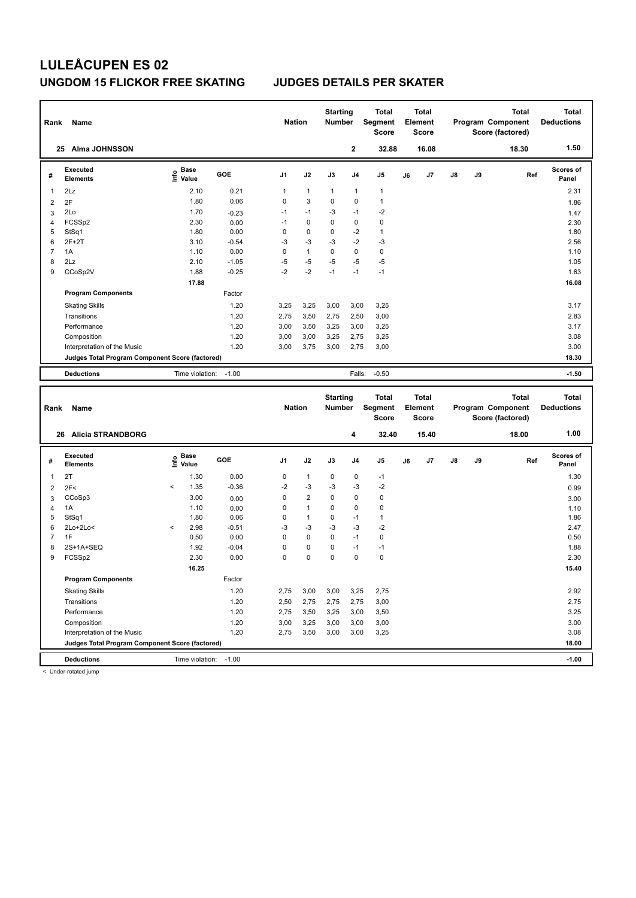| Rank                    | Name                                            |                   |            | <b>Nation</b>  |              | <b>Starting</b><br>Number |                | <b>Total</b><br>Segment<br><b>Score</b> |    | <b>Total</b><br>Element<br><b>Score</b> |    |    | <b>Total</b><br>Program Component<br>Score (factored) | <b>Total</b><br><b>Deductions</b> |
|-------------------------|-------------------------------------------------|-------------------|------------|----------------|--------------|---------------------------|----------------|-----------------------------------------|----|-----------------------------------------|----|----|-------------------------------------------------------|-----------------------------------|
|                         | <b>Alma JOHNSSON</b><br>25                      |                   |            |                |              |                           | $\mathbf{2}$   | 32.88                                   |    | 16.08                                   |    |    | 18.30                                                 | 1.50                              |
| #                       | Executed<br><b>Elements</b>                     | e Base<br>E Value | <b>GOE</b> | J <sub>1</sub> | J2           | J3                        | J <sub>4</sub> | J <sub>5</sub>                          | J6 | J7                                      | J8 | J9 | Ref                                                   | <b>Scores of</b><br>Panel         |
| $\overline{\mathbf{1}}$ | 2Lz                                             | 2.10              | 0.21       | 1              | $\mathbf{1}$ | $\mathbf{1}$              | $\mathbf{1}$   | $\mathbf{1}$                            |    |                                         |    |    |                                                       | 2.31                              |
| $\overline{2}$          | 2F                                              | 1.80              | 0.06       | 0              | 3            | 0                         | $\Omega$       | $\mathbf{1}$                            |    |                                         |    |    |                                                       | 1.86                              |
| 3                       | 2Lo                                             | 1.70              | $-0.23$    | $-1$           | $-1$         | $-3$                      | $-1$           | $-2$                                    |    |                                         |    |    |                                                       | 1.47                              |
| $\overline{4}$          | FCSSp2                                          | 2.30              | 0.00       | $-1$           | $\mathbf 0$  | $\Omega$                  | $\mathbf 0$    | 0                                       |    |                                         |    |    |                                                       | 2.30                              |
| 5                       | StSq1                                           | 1.80              | 0.00       | 0              | 0            | 0                         | $-2$           | $\mathbf{1}$                            |    |                                         |    |    |                                                       | 1.80                              |
| 6                       | $2F+2T$                                         | 3.10              | $-0.54$    | $-3$           | $-3$         | $-3$                      | $-2$           | $-3$                                    |    |                                         |    |    |                                                       | 2.56                              |
| 7                       | 1A                                              | 1.10              | 0.00       | 0              | $\mathbf{1}$ | 0                         | 0              | $\mathbf 0$                             |    |                                         |    |    |                                                       | 1.10                              |
| 8                       | 2Lz                                             | 2.10              | $-1.05$    | $-5$           | $-5$         | $-5$                      | $-5$           | $-5$                                    |    |                                         |    |    |                                                       | 1.05                              |
| 9                       | CCoSp2V                                         | 1.88              | $-0.25$    | $-2$           | $-2$         | $-1$                      | $-1$           | $-1$                                    |    |                                         |    |    |                                                       | 1.63                              |
|                         |                                                 | 17.88             |            |                |              |                           |                |                                         |    |                                         |    |    |                                                       | 16.08                             |
|                         | <b>Program Components</b>                       |                   | Factor     |                |              |                           |                |                                         |    |                                         |    |    |                                                       |                                   |
|                         | <b>Skating Skills</b>                           |                   | 1.20       | 3,25           | 3,25         | 3,00                      | 3,00           | 3,25                                    |    |                                         |    |    |                                                       | 3.17                              |
|                         | Transitions                                     |                   | 1.20       | 2,75           | 3,50         | 2,75                      | 2,50           | 3,00                                    |    |                                         |    |    |                                                       | 2.83                              |
|                         | Performance                                     |                   | 1.20       | 3,00           | 3,50         | 3,25                      | 3,00           | 3,25                                    |    |                                         |    |    |                                                       | 3.17                              |
|                         | Composition                                     |                   | 1.20       | 3,00           | 3,00         | 3,25                      | 2,75           | 3,25                                    |    |                                         |    |    |                                                       | 3.08                              |
|                         | Interpretation of the Music                     |                   | 1.20       | 3,00           | 3,75         | 3,00                      | 2,75           | 3,00                                    |    |                                         |    |    |                                                       | 3.00                              |
|                         | Judges Total Program Component Score (factored) |                   |            |                |              |                           |                |                                         |    |                                         |    |    |                                                       | 18.30                             |
|                         | <b>Deductions</b>                               | Time violation:   | $-1.00$    |                |              |                           | Falls:         | $-0.50$                                 |    |                                         |    |    |                                                       | $-1.50$                           |
|                         |                                                 |                   |            |                |              | Starting                  |                | Total                                   |    | Total                                   |    |    | Total                                                 | Total                             |

| Name<br>Rank |                                                 |                              |                 |         | <b>Nation</b>  |                | <b>Starting</b><br><b>Number</b> |                | Total<br>Segment<br><b>Score</b> | <b>Total</b><br>Element<br><b>Score</b> |       | Program Component<br>Score (factored) |    | <b>Total</b> | <b>Total</b><br><b>Deductions</b> |
|--------------|-------------------------------------------------|------------------------------|-----------------|---------|----------------|----------------|----------------------------------|----------------|----------------------------------|-----------------------------------------|-------|---------------------------------------|----|--------------|-----------------------------------|
|              | <b>Alicia STRANDBORG</b><br>26                  |                              |                 |         |                |                |                                  | 4              | 32.40                            |                                         | 15.40 |                                       |    | 18.00        | 1.00                              |
| #            | Executed<br><b>Elements</b>                     | <b>Base</b><br>lnfo<br>Value |                 | GOE     | J <sub>1</sub> | J2             | J3                               | J <sub>4</sub> | J <sub>5</sub>                   | J6                                      | J7    | $\mathsf{J}8$                         | J9 | Ref          | <b>Scores of</b><br>Panel         |
| 1            | 2T                                              |                              | 1.30            | 0.00    | 0              | $\overline{1}$ | 0                                | 0              | $-1$                             |                                         |       |                                       |    |              | 1.30                              |
| 2            | 2F<                                             | $\hat{}$                     | 1.35            | $-0.36$ | $-2$           | $-3$           | $-3$                             | -3             | $-2$                             |                                         |       |                                       |    |              | 0.99                              |
| 3            | CCoSp3                                          |                              | 3.00            | 0.00    | 0              | $\overline{2}$ | 0                                | $\pmb{0}$      | $\pmb{0}$                        |                                         |       |                                       |    |              | 3.00                              |
| 4            | 1A                                              |                              | 1.10            | 0.00    | 0              | $\mathbf{1}$   | 0                                | $\mathbf 0$    | $\pmb{0}$                        |                                         |       |                                       |    |              | 1.10                              |
| 5            | StSq1                                           |                              | 1.80            | 0.06    | 0              | $\overline{1}$ | 0                                | $-1$           | $\mathbf{1}$                     |                                         |       |                                       |    |              | 1.86                              |
| 6            | $2Lo+2Lo<$                                      | $\prec$                      | 2.98            | $-0.51$ | $-3$           | $-3$           | $-3$                             | $-3$           | $-2$                             |                                         |       |                                       |    |              | 2.47                              |
|              | 1F                                              |                              | 0.50            | 0.00    | 0              | 0              | 0                                | $-1$           | 0                                |                                         |       |                                       |    |              | 0.50                              |
| 8            | 2S+1A+SEQ                                       |                              | 1.92            | $-0.04$ | 0              | $\mathbf 0$    | 0                                | $-1$           | $-1$                             |                                         |       |                                       |    |              | 1.88                              |
| 9            | FCSSp2                                          |                              | 2.30            | 0.00    | 0              | $\mathbf 0$    | $\Omega$                         | $\mathbf 0$    | $\pmb{0}$                        |                                         |       |                                       |    |              | 2.30                              |
|              |                                                 |                              | 16.25           |         |                |                |                                  |                |                                  |                                         |       |                                       |    |              | 15.40                             |
|              | <b>Program Components</b>                       |                              |                 | Factor  |                |                |                                  |                |                                  |                                         |       |                                       |    |              |                                   |
|              | <b>Skating Skills</b>                           |                              |                 | 1.20    | 2,75           | 3,00           | 3,00                             | 3,25           | 2,75                             |                                         |       |                                       |    |              | 2.92                              |
|              | Transitions                                     |                              |                 | 1.20    | 2,50           | 2,75           | 2,75                             | 2,75           | 3,00                             |                                         |       |                                       |    |              | 2.75                              |
|              | Performance                                     |                              |                 | 1.20    | 2,75           | 3,50           | 3,25                             | 3,00           | 3,50                             |                                         |       |                                       |    |              | 3.25                              |
|              | Composition                                     |                              |                 | 1.20    | 3,00           | 3,25           | 3,00                             | 3,00           | 3,00                             |                                         |       |                                       |    |              | 3.00                              |
|              | Interpretation of the Music                     |                              |                 | 1.20    | 2,75           | 3,50           | 3,00                             | 3,00           | 3,25                             |                                         |       |                                       |    |              | 3.08                              |
|              | Judges Total Program Component Score (factored) |                              |                 |         |                |                |                                  |                |                                  |                                         |       |                                       |    |              | 18.00                             |
|              | <b>Deductions</b>                               |                              | Time violation: | $-1.00$ |                |                |                                  |                |                                  |                                         |       |                                       |    |              | $-1.00$                           |

< Under-rotated jump